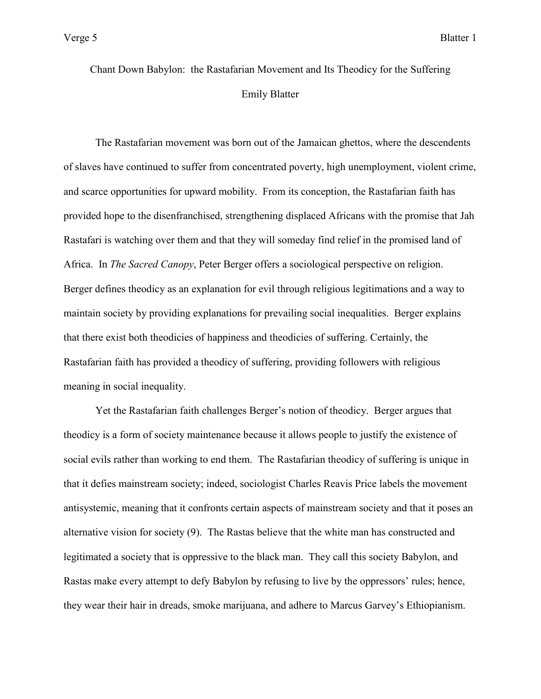Verge 5 Blatter 1

Chant Down Babylon: the Rastafarian Movement and Its Theodicy for the Suffering Emily Blatter

 The Rastafarian movement was born out of the Jamaican ghettos, where the descendents of slaves have continued to suffer from concentrated poverty, high unemployment, violent crime, and scarce opportunities for upward mobility. From its conception, the Rastafarian faith has provided hope to the disenfranchised, strengthening displaced Africans with the promise that Jah Rastafari is watching over them and that they will someday find relief in the promised land of Africa. In *The Sacred Canopy*, Peter Berger offers a sociological perspective on religion. Berger defines theodicy as an explanation for evil through religious legitimations and a way to maintain society by providing explanations for prevailing social inequalities. Berger explains that there exist both theodicies of happiness and theodicies of suffering. Certainly, the Rastafarian faith has provided a theodicy of suffering, providing followers with religious meaning in social inequality.

Yet the Rastafarian faith challenges Berger's notion of theodicy. Berger argues that theodicy is a form of society maintenance because it allows people to justify the existence of social evils rather than working to end them. The Rastafarian theodicy of suffering is unique in that it defies mainstream society; indeed, sociologist Charles Reavis Price labels the movement antisystemic, meaning that it confronts certain aspects of mainstream society and that it poses an alternative vision for society (9). The Rastas believe that the white man has constructed and legitimated a society that is oppressive to the black man. They call this society Babylon, and Rastas make every attempt to defy Babylon by refusing to live by the oppressors' rules; hence, they wear their hair in dreads, smoke marijuana, and adhere to Marcus Garvey's Ethiopianism.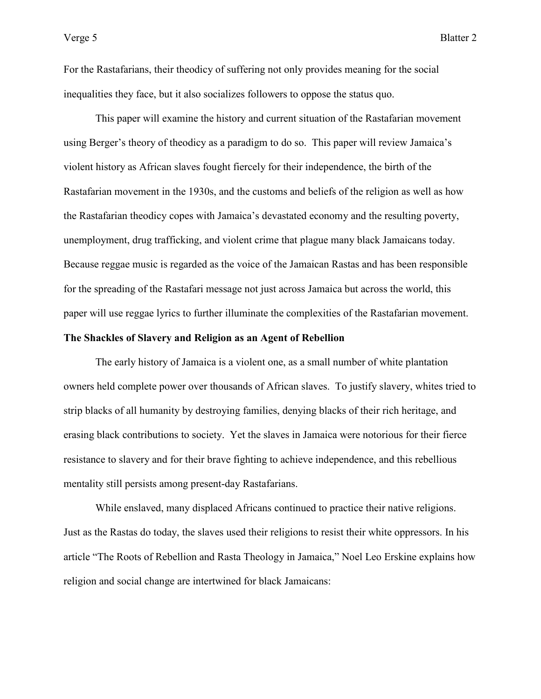For the Rastafarians, their theodicy of suffering not only provides meaning for the social inequalities they face, but it also socializes followers to oppose the status quo.

 This paper will examine the history and current situation of the Rastafarian movement using Berger's theory of theodicy as a paradigm to do so. This paper will review Jamaica's violent history as African slaves fought fiercely for their independence, the birth of the Rastafarian movement in the 1930s, and the customs and beliefs of the religion as well as how the Rastafarian theodicy copes with Jamaica's devastated economy and the resulting poverty, unemployment, drug trafficking, and violent crime that plague many black Jamaicans today. Because reggae music is regarded as the voice of the Jamaican Rastas and has been responsible for the spreading of the Rastafari message not just across Jamaica but across the world, this paper will use reggae lyrics to further illuminate the complexities of the Rastafarian movement.

#### **The Shackles of Slavery and Religion as an Agent of Rebellion**

 The early history of Jamaica is a violent one, as a small number of white plantation owners held complete power over thousands of African slaves. To justify slavery, whites tried to strip blacks of all humanity by destroying families, denying blacks of their rich heritage, and erasing black contributions to society. Yet the slaves in Jamaica were notorious for their fierce resistance to slavery and for their brave fighting to achieve independence, and this rebellious mentality still persists among present-day Rastafarians.

 While enslaved, many displaced Africans continued to practice their native religions. Just as the Rastas do today, the slaves used their religions to resist their white oppressors. In his article "The Roots of Rebellion and Rasta Theology in Jamaica," Noel Leo Erskine explains how religion and social change are intertwined for black Jamaicans: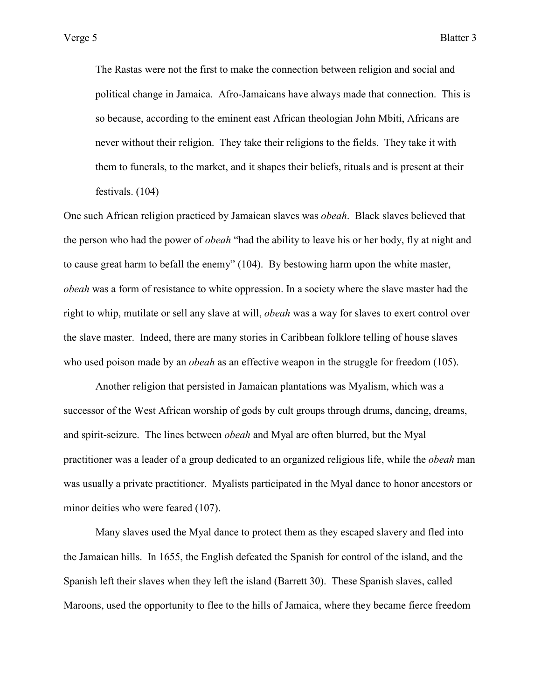The Rastas were not the first to make the connection between religion and social and political change in Jamaica. Afro-Jamaicans have always made that connection. This is so because, according to the eminent east African theologian John Mbiti, Africans are never without their religion. They take their religions to the fields. They take it with them to funerals, to the market, and it shapes their beliefs, rituals and is present at their festivals. (104)

One such African religion practiced by Jamaican slaves was *obeah*. Black slaves believed that the person who had the power of *obeah* "had the ability to leave his or her body, fly at night and to cause great harm to befall the enemy" (104). By bestowing harm upon the white master, *obeah* was a form of resistance to white oppression. In a society where the slave master had the right to whip, mutilate or sell any slave at will, *obeah* was a way for slaves to exert control over the slave master. Indeed, there are many stories in Caribbean folklore telling of house slaves who used poison made by an *obeah* as an effective weapon in the struggle for freedom (105).

Another religion that persisted in Jamaican plantations was Myalism, which was a successor of the West African worship of gods by cult groups through drums, dancing, dreams, and spirit-seizure. The lines between *obeah* and Myal are often blurred, but the Myal practitioner was a leader of a group dedicated to an organized religious life, while the *obeah* man was usually a private practitioner. Myalists participated in the Myal dance to honor ancestors or minor deities who were feared (107).

Many slaves used the Myal dance to protect them as they escaped slavery and fled into the Jamaican hills. In 1655, the English defeated the Spanish for control of the island, and the Spanish left their slaves when they left the island (Barrett 30). These Spanish slaves, called Maroons, used the opportunity to flee to the hills of Jamaica, where they became fierce freedom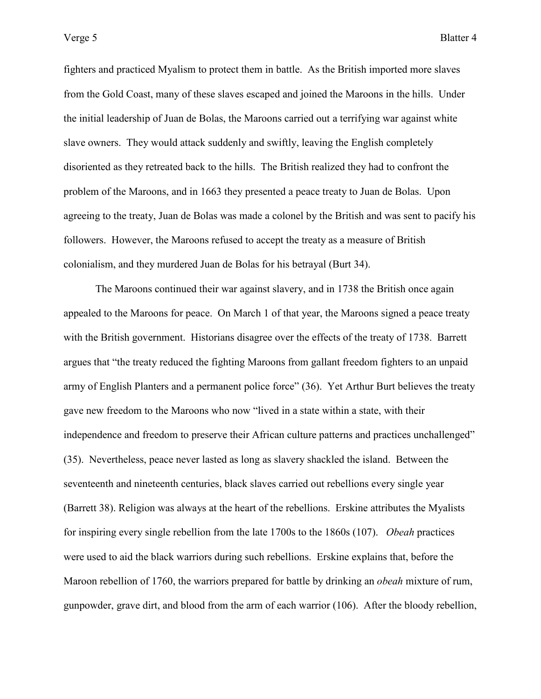Verge 5 Blatter 4

fighters and practiced Myalism to protect them in battle. As the British imported more slaves from the Gold Coast, many of these slaves escaped and joined the Maroons in the hills. Under the initial leadership of Juan de Bolas, the Maroons carried out a terrifying war against white slave owners. They would attack suddenly and swiftly, leaving the English completely disoriented as they retreated back to the hills. The British realized they had to confront the problem of the Maroons, and in 1663 they presented a peace treaty to Juan de Bolas. Upon agreeing to the treaty, Juan de Bolas was made a colonel by the British and was sent to pacify his followers. However, the Maroons refused to accept the treaty as a measure of British colonialism, and they murdered Juan de Bolas for his betrayal (Burt 34).

 The Maroons continued their war against slavery, and in 1738 the British once again appealed to the Maroons for peace. On March 1 of that year, the Maroons signed a peace treaty with the British government. Historians disagree over the effects of the treaty of 1738. Barrett argues that "the treaty reduced the fighting Maroons from gallant freedom fighters to an unpaid army of English Planters and a permanent police force" (36). Yet Arthur Burt believes the treaty gave new freedom to the Maroons who now "lived in a state within a state, with their independence and freedom to preserve their African culture patterns and practices unchallenged" (35). Nevertheless, peace never lasted as long as slavery shackled the island. Between the seventeenth and nineteenth centuries, black slaves carried out rebellions every single year (Barrett 38). Religion was always at the heart of the rebellions. Erskine attributes the Myalists for inspiring every single rebellion from the late 1700s to the 1860s (107). *Obeah* practices were used to aid the black warriors during such rebellions. Erskine explains that, before the Maroon rebellion of 1760, the warriors prepared for battle by drinking an *obeah* mixture of rum, gunpowder, grave dirt, and blood from the arm of each warrior (106). After the bloody rebellion,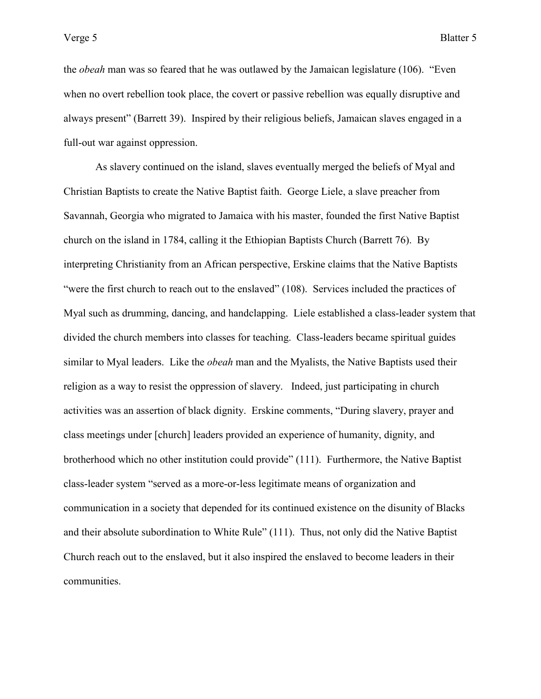the *obeah* man was so feared that he was outlawed by the Jamaican legislature (106). "Even when no overt rebellion took place, the covert or passive rebellion was equally disruptive and always present" (Barrett 39). Inspired by their religious beliefs, Jamaican slaves engaged in a full-out war against oppression.

 As slavery continued on the island, slaves eventually merged the beliefs of Myal and Christian Baptists to create the Native Baptist faith. George Liele, a slave preacher from Savannah, Georgia who migrated to Jamaica with his master, founded the first Native Baptist church on the island in 1784, calling it the Ethiopian Baptists Church (Barrett 76). By interpreting Christianity from an African perspective, Erskine claims that the Native Baptists "were the first church to reach out to the enslaved" (108). Services included the practices of Myal such as drumming, dancing, and handclapping. Liele established a class-leader system that divided the church members into classes for teaching. Class-leaders became spiritual guides similar to Myal leaders. Like the *obeah* man and the Myalists, the Native Baptists used their religion as a way to resist the oppression of slavery. Indeed, just participating in church activities was an assertion of black dignity. Erskine comments, "During slavery, prayer and class meetings under [church] leaders provided an experience of humanity, dignity, and brotherhood which no other institution could provide" (111). Furthermore, the Native Baptist class-leader system "served as a more-or-less legitimate means of organization and communication in a society that depended for its continued existence on the disunity of Blacks and their absolute subordination to White Rule" (111). Thus, not only did the Native Baptist Church reach out to the enslaved, but it also inspired the enslaved to become leaders in their communities.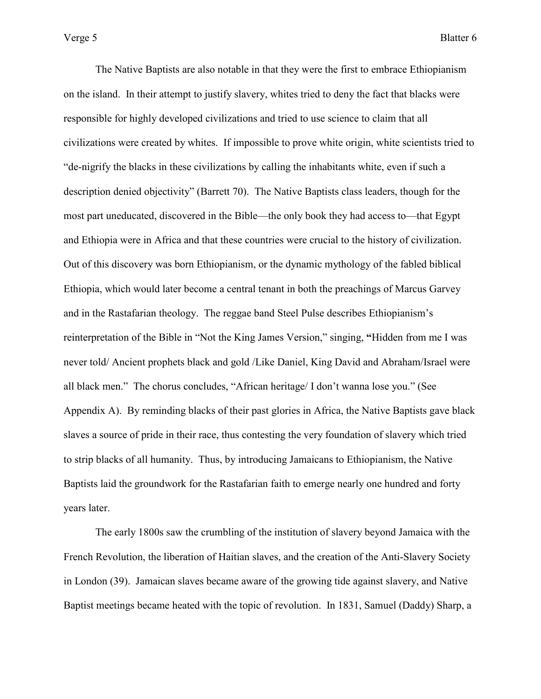Verge 5 Blatter 6

The Native Baptists are also notable in that they were the first to embrace Ethiopianism on the island. In their attempt to justify slavery, whites tried to deny the fact that blacks were responsible for highly developed civilizations and tried to use science to claim that all civilizations were created by whites. If impossible to prove white origin, white scientists tried to "de-nigrify the blacks in these civilizations by calling the inhabitants white, even if such a description denied objectivity" (Barrett 70). The Native Baptists class leaders, though for the most part uneducated, discovered in the Bible—the only book they had access to—that Egypt and Ethiopia were in Africa and that these countries were crucial to the history of civilization. Out of this discovery was born Ethiopianism, or the dynamic mythology of the fabled biblical Ethiopia, which would later become a central tenant in both the preachings of Marcus Garvey and in the Rastafarian theology. The reggae band Steel Pulse describes Ethiopianism's reinterpretation of the Bible in "Not the King James Version," singing, **"**Hidden from me I was never told/ Ancient prophets black and gold /Like Daniel, King David and Abraham/Israel were all black men." The chorus concludes, "African heritage/ I don't wanna lose you." (See Appendix A). By reminding blacks of their past glories in Africa, the Native Baptists gave black slaves a source of pride in their race, thus contesting the very foundation of slavery which tried to strip blacks of all humanity. Thus, by introducing Jamaicans to Ethiopianism, the Native Baptists laid the groundwork for the Rastafarian faith to emerge nearly one hundred and forty years later.

 The early 1800s saw the crumbling of the institution of slavery beyond Jamaica with the French Revolution, the liberation of Haitian slaves, and the creation of the Anti-Slavery Society in London (39). Jamaican slaves became aware of the growing tide against slavery, and Native Baptist meetings became heated with the topic of revolution. In 1831, Samuel (Daddy) Sharp, a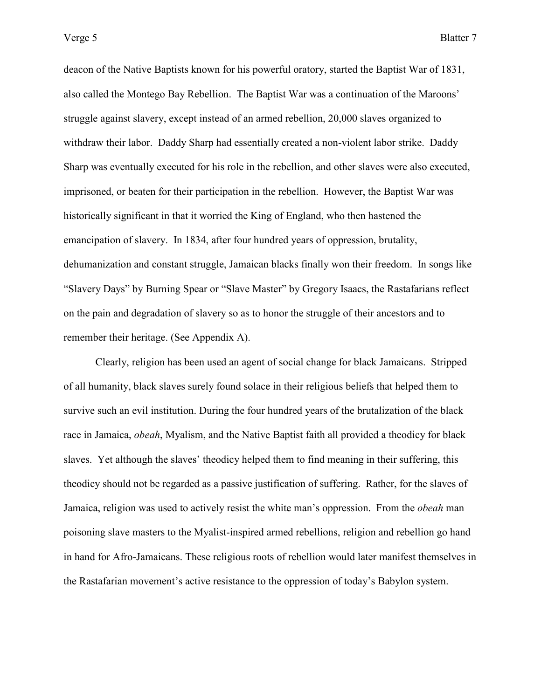deacon of the Native Baptists known for his powerful oratory, started the Baptist War of 1831, also called the Montego Bay Rebellion. The Baptist War was a continuation of the Maroons' struggle against slavery, except instead of an armed rebellion, 20,000 slaves organized to withdraw their labor. Daddy Sharp had essentially created a non-violent labor strike. Daddy Sharp was eventually executed for his role in the rebellion, and other slaves were also executed, imprisoned, or beaten for their participation in the rebellion. However, the Baptist War was historically significant in that it worried the King of England, who then hastened the emancipation of slavery. In 1834, after four hundred years of oppression, brutality, dehumanization and constant struggle, Jamaican blacks finally won their freedom. In songs like "Slavery Days" by Burning Spear or "Slave Master" by Gregory Isaacs, the Rastafarians reflect on the pain and degradation of slavery so as to honor the struggle of their ancestors and to remember their heritage. (See Appendix A).

 Clearly, religion has been used an agent of social change for black Jamaicans. Stripped of all humanity, black slaves surely found solace in their religious beliefs that helped them to survive such an evil institution. During the four hundred years of the brutalization of the black race in Jamaica, *obeah*, Myalism, and the Native Baptist faith all provided a theodicy for black slaves. Yet although the slaves' theodicy helped them to find meaning in their suffering, this theodicy should not be regarded as a passive justification of suffering. Rather, for the slaves of Jamaica, religion was used to actively resist the white man's oppression. From the *obeah* man poisoning slave masters to the Myalist-inspired armed rebellions, religion and rebellion go hand in hand for Afro-Jamaicans. These religious roots of rebellion would later manifest themselves in the Rastafarian movement's active resistance to the oppression of today's Babylon system.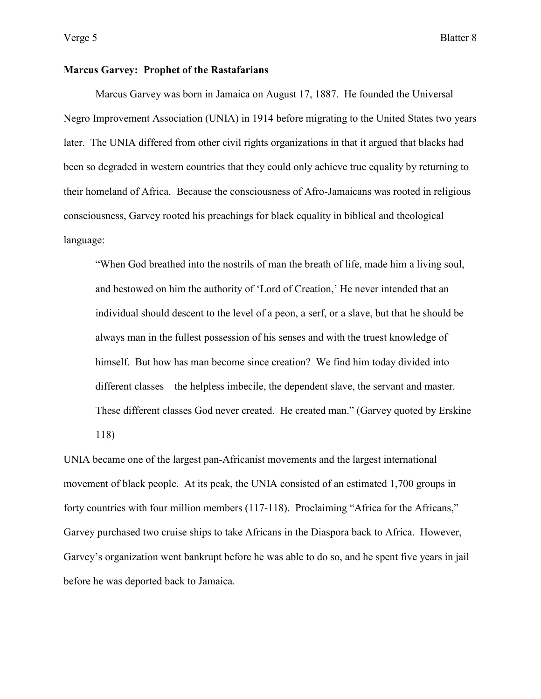Verge 5 Blatter 8

## **Marcus Garvey: Prophet of the Rastafarians**

 Marcus Garvey was born in Jamaica on August 17, 1887. He founded the Universal Negro Improvement Association (UNIA) in 1914 before migrating to the United States two years later. The UNIA differed from other civil rights organizations in that it argued that blacks had been so degraded in western countries that they could only achieve true equality by returning to their homeland of Africa. Because the consciousness of Afro-Jamaicans was rooted in religious consciousness, Garvey rooted his preachings for black equality in biblical and theological language:

"When God breathed into the nostrils of man the breath of life, made him a living soul, and bestowed on him the authority of 'Lord of Creation,' He never intended that an individual should descent to the level of a peon, a serf, or a slave, but that he should be always man in the fullest possession of his senses and with the truest knowledge of himself. But how has man become since creation? We find him today divided into different classes—the helpless imbecile, the dependent slave, the servant and master. These different classes God never created. He created man." (Garvey quoted by Erskine 118)

UNIA became one of the largest pan-Africanist movements and the largest international movement of black people. At its peak, the UNIA consisted of an estimated 1,700 groups in forty countries with four million members (117-118). Proclaiming "Africa for the Africans," Garvey purchased two cruise ships to take Africans in the Diaspora back to Africa. However, Garvey's organization went bankrupt before he was able to do so, and he spent five years in jail before he was deported back to Jamaica.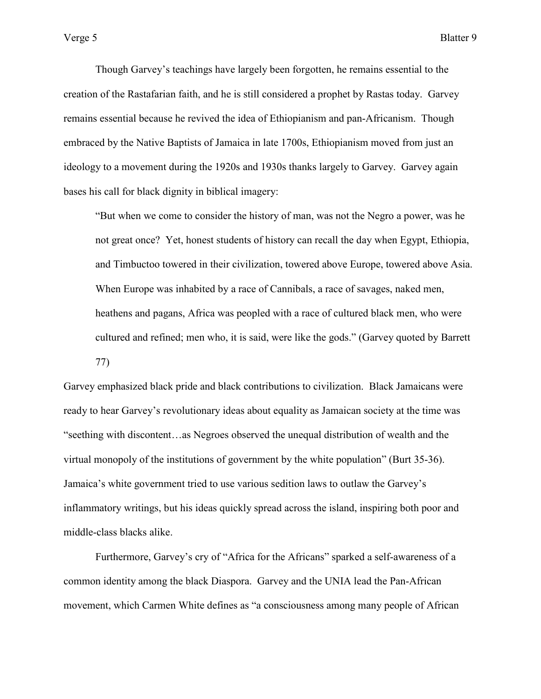Though Garvey's teachings have largely been forgotten, he remains essential to the creation of the Rastafarian faith, and he is still considered a prophet by Rastas today. Garvey remains essential because he revived the idea of Ethiopianism and pan-Africanism. Though embraced by the Native Baptists of Jamaica in late 1700s, Ethiopianism moved from just an ideology to a movement during the 1920s and 1930s thanks largely to Garvey. Garvey again bases his call for black dignity in biblical imagery:

"But when we come to consider the history of man, was not the Negro a power, was he not great once? Yet, honest students of history can recall the day when Egypt, Ethiopia, and Timbuctoo towered in their civilization, towered above Europe, towered above Asia. When Europe was inhabited by a race of Cannibals, a race of savages, naked men, heathens and pagans, Africa was peopled with a race of cultured black men, who were cultured and refined; men who, it is said, were like the gods." (Garvey quoted by Barrett 77)

Garvey emphasized black pride and black contributions to civilization. Black Jamaicans were ready to hear Garvey's revolutionary ideas about equality as Jamaican society at the time was "seething with discontent…as Negroes observed the unequal distribution of wealth and the virtual monopoly of the institutions of government by the white population" (Burt 35-36). Jamaica's white government tried to use various sedition laws to outlaw the Garvey's inflammatory writings, but his ideas quickly spread across the island, inspiring both poor and middle-class blacks alike.

 Furthermore, Garvey's cry of "Africa for the Africans" sparked a self-awareness of a common identity among the black Diaspora. Garvey and the UNIA lead the Pan-African movement, which Carmen White defines as "a consciousness among many people of African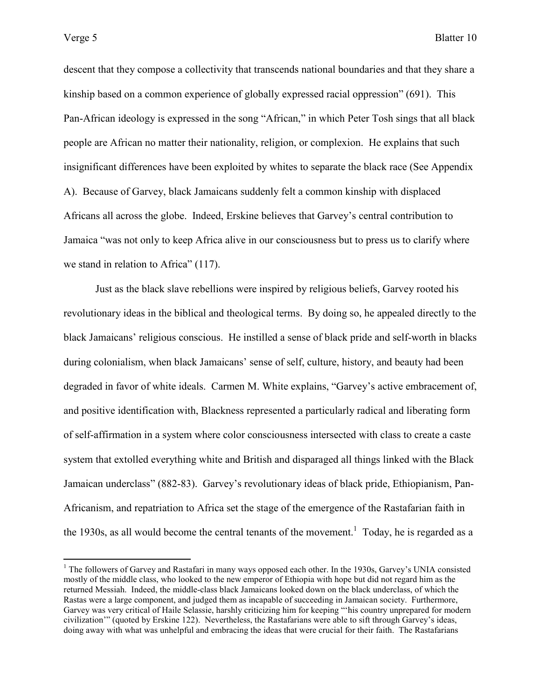descent that they compose a collectivity that transcends national boundaries and that they share a kinship based on a common experience of globally expressed racial oppression" (691). This Pan-African ideology is expressed in the song "African," in which Peter Tosh sings that all black people are African no matter their nationality, religion, or complexion. He explains that such insignificant differences have been exploited by whites to separate the black race (See Appendix A). Because of Garvey, black Jamaicans suddenly felt a common kinship with displaced Africans all across the globe. Indeed, Erskine believes that Garvey's central contribution to Jamaica "was not only to keep Africa alive in our consciousness but to press us to clarify where we stand in relation to Africa" (117).

 Just as the black slave rebellions were inspired by religious beliefs, Garvey rooted his revolutionary ideas in the biblical and theological terms. By doing so, he appealed directly to the black Jamaicans' religious conscious. He instilled a sense of black pride and self-worth in blacks during colonialism, when black Jamaicans' sense of self, culture, history, and beauty had been degraded in favor of white ideals. Carmen M. White explains, "Garvey's active embracement of, and positive identification with, Blackness represented a particularly radical and liberating form of self-affirmation in a system where color consciousness intersected with class to create a caste system that extolled everything white and British and disparaged all things linked with the Black Jamaican underclass" (882-83). Garvey's revolutionary ideas of black pride, Ethiopianism, Pan-Africanism, and repatriation to Africa set the stage of the emergence of the Rastafarian faith in the 1930s, as all would become the central tenants of the movement.<sup>1</sup> Today, he is regarded as a

<sup>&</sup>lt;sup>1</sup> The followers of Garvey and Rastafari in many ways opposed each other. In the 1930s, Garvey's UNIA consisted mostly of the middle class, who looked to the new emperor of Ethiopia with hope but did not regard him as the returned Messiah. Indeed, the middle-class black Jamaicans looked down on the black underclass, of which the Rastas were a large component, and judged them as incapable of succeeding in Jamaican society. Furthermore, Garvey was very critical of Haile Selassie, harshly criticizing him for keeping "'his country unprepared for modern civilization'" (quoted by Erskine 122). Nevertheless, the Rastafarians were able to sift through Garvey's ideas, doing away with what was unhelpful and embracing the ideas that were crucial for their faith. The Rastafarians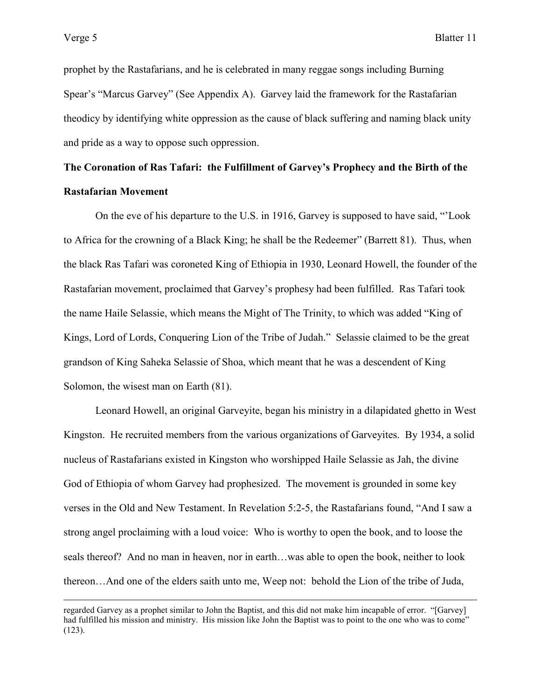prophet by the Rastafarians, and he is celebrated in many reggae songs including Burning Spear's "Marcus Garvey" (See Appendix A). Garvey laid the framework for the Rastafarian theodicy by identifying white oppression as the cause of black suffering and naming black unity and pride as a way to oppose such oppression.

# **The Coronation of Ras Tafari: the Fulfillment of Garvey's Prophecy and the Birth of the Rastafarian Movement**

 On the eve of his departure to the U.S. in 1916, Garvey is supposed to have said, "'Look to Africa for the crowning of a Black King; he shall be the Redeemer" (Barrett 81). Thus, when the black Ras Tafari was coroneted King of Ethiopia in 1930, Leonard Howell, the founder of the Rastafarian movement, proclaimed that Garvey's prophesy had been fulfilled. Ras Tafari took the name Haile Selassie, which means the Might of The Trinity, to which was added "King of Kings, Lord of Lords, Conquering Lion of the Tribe of Judah." Selassie claimed to be the great grandson of King Saheka Selassie of Shoa, which meant that he was a descendent of King Solomon, the wisest man on Earth (81).

 Leonard Howell, an original Garveyite, began his ministry in a dilapidated ghetto in West Kingston. He recruited members from the various organizations of Garveyites. By 1934, a solid nucleus of Rastafarians existed in Kingston who worshipped Haile Selassie as Jah, the divine God of Ethiopia of whom Garvey had prophesized. The movement is grounded in some key verses in the Old and New Testament. In Revelation 5:2-5, the Rastafarians found, "And I saw a strong angel proclaiming with a loud voice: Who is worthy to open the book, and to loose the seals thereof? And no man in heaven, nor in earth…was able to open the book, neither to look thereon…And one of the elders saith unto me, Weep not: behold the Lion of the tribe of Juda,

regarded Garvey as a prophet similar to John the Baptist, and this did not make him incapable of error. "[Garvey] had fulfilled his mission and ministry. His mission like John the Baptist was to point to the one who was to come" (123).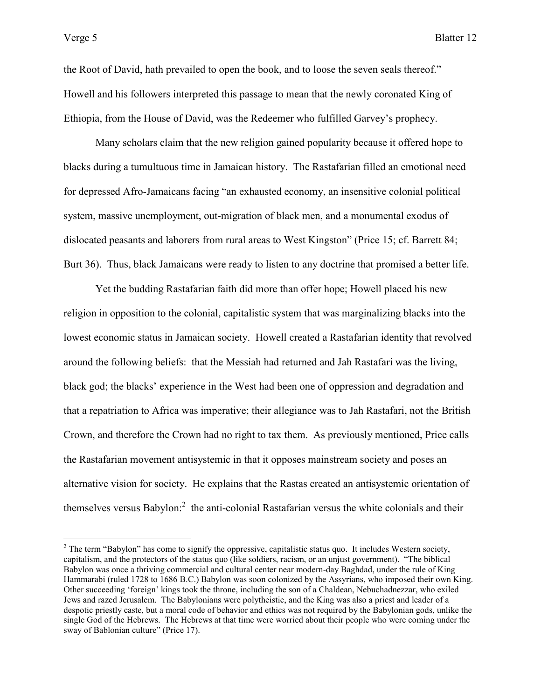the Root of David, hath prevailed to open the book, and to loose the seven seals thereof." Howell and his followers interpreted this passage to mean that the newly coronated King of Ethiopia, from the House of David, was the Redeemer who fulfilled Garvey's prophecy.

 Many scholars claim that the new religion gained popularity because it offered hope to blacks during a tumultuous time in Jamaican history. The Rastafarian filled an emotional need for depressed Afro-Jamaicans facing "an exhausted economy, an insensitive colonial political system, massive unemployment, out-migration of black men, and a monumental exodus of dislocated peasants and laborers from rural areas to West Kingston" (Price 15; cf. Barrett 84; Burt 36). Thus, black Jamaicans were ready to listen to any doctrine that promised a better life.

Yet the budding Rastafarian faith did more than offer hope; Howell placed his new religion in opposition to the colonial, capitalistic system that was marginalizing blacks into the lowest economic status in Jamaican society. Howell created a Rastafarian identity that revolved around the following beliefs: that the Messiah had returned and Jah Rastafari was the living, black god; the blacks' experience in the West had been one of oppression and degradation and that a repatriation to Africa was imperative; their allegiance was to Jah Rastafari, not the British Crown, and therefore the Crown had no right to tax them. As previously mentioned, Price calls the Rastafarian movement antisystemic in that it opposes mainstream society and poses an alternative vision for society. He explains that the Rastas created an antisystemic orientation of themselves versus Babylon: $2$  the anti-colonial Rastafarian versus the white colonials and their

 $2^2$  The term "Babylon" has come to signify the oppressive, capitalistic status quo. It includes Western society, capitalism, and the protectors of the status quo (like soldiers, racism, or an unjust government). "The biblical Babylon was once a thriving commercial and cultural center near modern-day Baghdad, under the rule of King Hammarabi (ruled 1728 to 1686 B.C.) Babylon was soon colonized by the Assyrians, who imposed their own King. Other succeeding 'foreign' kings took the throne, including the son of a Chaldean, Nebuchadnezzar, who exiled Jews and razed Jerusalem. The Babylonians were polytheistic, and the King was also a priest and leader of a despotic priestly caste, but a moral code of behavior and ethics was not required by the Babylonian gods, unlike the single God of the Hebrews. The Hebrews at that time were worried about their people who were coming under the sway of Bablonian culture" (Price 17).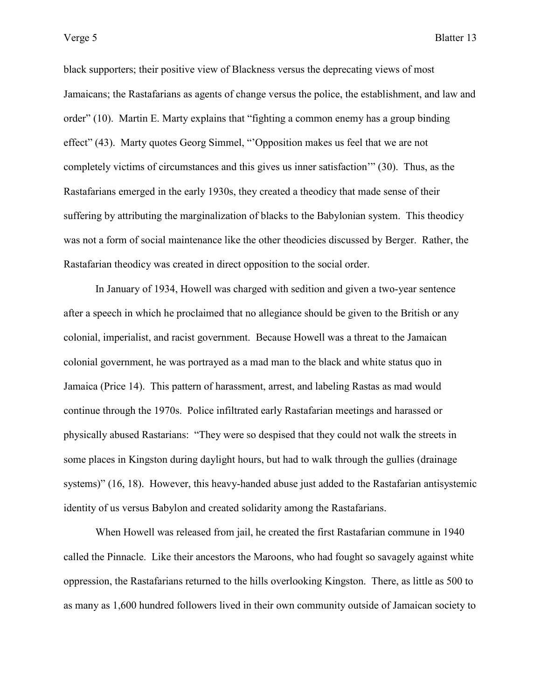black supporters; their positive view of Blackness versus the deprecating views of most Jamaicans; the Rastafarians as agents of change versus the police, the establishment, and law and order" (10). Martin E. Marty explains that "fighting a common enemy has a group binding effect" (43). Marty quotes Georg Simmel, "'Opposition makes us feel that we are not completely victims of circumstances and this gives us inner satisfaction'" (30). Thus, as the Rastafarians emerged in the early 1930s, they created a theodicy that made sense of their suffering by attributing the marginalization of blacks to the Babylonian system. This theodicy was not a form of social maintenance like the other theodicies discussed by Berger. Rather, the Rastafarian theodicy was created in direct opposition to the social order.

In January of 1934, Howell was charged with sedition and given a two-year sentence after a speech in which he proclaimed that no allegiance should be given to the British or any colonial, imperialist, and racist government. Because Howell was a threat to the Jamaican colonial government, he was portrayed as a mad man to the black and white status quo in Jamaica (Price 14). This pattern of harassment, arrest, and labeling Rastas as mad would continue through the 1970s. Police infiltrated early Rastafarian meetings and harassed or physically abused Rastarians: "They were so despised that they could not walk the streets in some places in Kingston during daylight hours, but had to walk through the gullies (drainage systems)" (16, 18). However, this heavy-handed abuse just added to the Rastafarian antisystemic identity of us versus Babylon and created solidarity among the Rastafarians.

When Howell was released from jail, he created the first Rastafarian commune in 1940 called the Pinnacle. Like their ancestors the Maroons, who had fought so savagely against white oppression, the Rastafarians returned to the hills overlooking Kingston. There, as little as 500 to as many as 1,600 hundred followers lived in their own community outside of Jamaican society to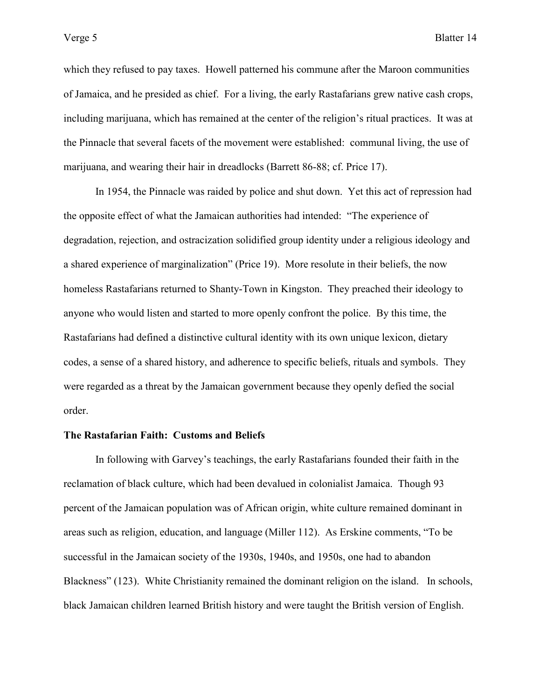which they refused to pay taxes. Howell patterned his commune after the Maroon communities of Jamaica, and he presided as chief. For a living, the early Rastafarians grew native cash crops, including marijuana, which has remained at the center of the religion's ritual practices. It was at the Pinnacle that several facets of the movement were established: communal living, the use of marijuana, and wearing their hair in dreadlocks (Barrett 86-88; cf. Price 17).

In 1954, the Pinnacle was raided by police and shut down. Yet this act of repression had the opposite effect of what the Jamaican authorities had intended: "The experience of degradation, rejection, and ostracization solidified group identity under a religious ideology and a shared experience of marginalization" (Price 19). More resolute in their beliefs, the now homeless Rastafarians returned to Shanty-Town in Kingston. They preached their ideology to anyone who would listen and started to more openly confront the police. By this time, the Rastafarians had defined a distinctive cultural identity with its own unique lexicon, dietary codes, a sense of a shared history, and adherence to specific beliefs, rituals and symbols. They were regarded as a threat by the Jamaican government because they openly defied the social order.

### **The Rastafarian Faith: Customs and Beliefs**

 In following with Garvey's teachings, the early Rastafarians founded their faith in the reclamation of black culture, which had been devalued in colonialist Jamaica. Though 93 percent of the Jamaican population was of African origin, white culture remained dominant in areas such as religion, education, and language (Miller 112). As Erskine comments, "To be successful in the Jamaican society of the 1930s, 1940s, and 1950s, one had to abandon Blackness" (123). White Christianity remained the dominant religion on the island. In schools, black Jamaican children learned British history and were taught the British version of English.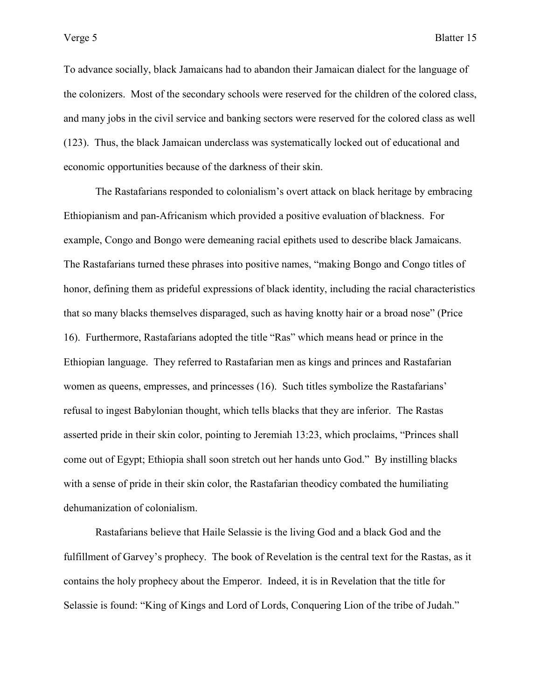To advance socially, black Jamaicans had to abandon their Jamaican dialect for the language of the colonizers. Most of the secondary schools were reserved for the children of the colored class, and many jobs in the civil service and banking sectors were reserved for the colored class as well (123). Thus, the black Jamaican underclass was systematically locked out of educational and economic opportunities because of the darkness of their skin.

The Rastafarians responded to colonialism's overt attack on black heritage by embracing Ethiopianism and pan-Africanism which provided a positive evaluation of blackness. For example, Congo and Bongo were demeaning racial epithets used to describe black Jamaicans. The Rastafarians turned these phrases into positive names, "making Bongo and Congo titles of honor, defining them as prideful expressions of black identity, including the racial characteristics that so many blacks themselves disparaged, such as having knotty hair or a broad nose" (Price 16). Furthermore, Rastafarians adopted the title "Ras" which means head or prince in the Ethiopian language. They referred to Rastafarian men as kings and princes and Rastafarian women as queens, empresses, and princesses (16). Such titles symbolize the Rastafarians' refusal to ingest Babylonian thought, which tells blacks that they are inferior. The Rastas asserted pride in their skin color, pointing to Jeremiah 13:23, which proclaims, "Princes shall come out of Egypt; Ethiopia shall soon stretch out her hands unto God." By instilling blacks with a sense of pride in their skin color, the Rastafarian theodicy combated the humiliating dehumanization of colonialism.

Rastafarians believe that Haile Selassie is the living God and a black God and the fulfillment of Garvey's prophecy. The book of Revelation is the central text for the Rastas, as it contains the holy prophecy about the Emperor. Indeed, it is in Revelation that the title for Selassie is found: "King of Kings and Lord of Lords, Conquering Lion of the tribe of Judah."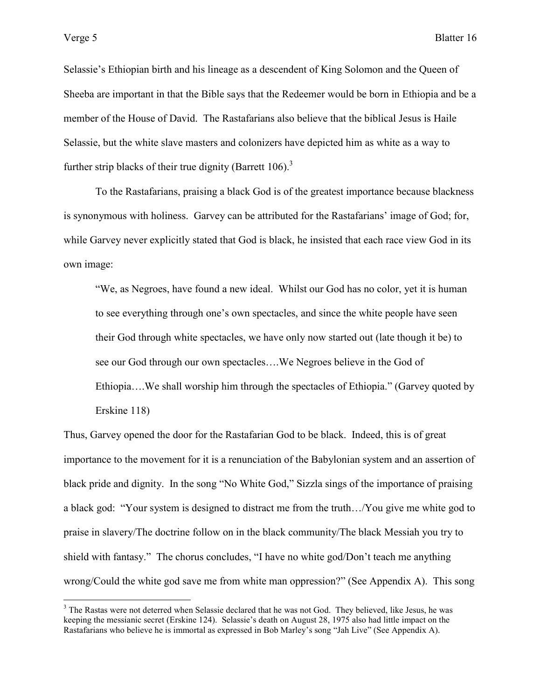Selassie's Ethiopian birth and his lineage as a descendent of King Solomon and the Queen of Sheeba are important in that the Bible says that the Redeemer would be born in Ethiopia and be a member of the House of David. The Rastafarians also believe that the biblical Jesus is Haile Selassie, but the white slave masters and colonizers have depicted him as white as a way to further strip blacks of their true dignity (Barrett 106).<sup>3</sup>

To the Rastafarians, praising a black God is of the greatest importance because blackness is synonymous with holiness. Garvey can be attributed for the Rastafarians' image of God; for, while Garvey never explicitly stated that God is black, he insisted that each race view God in its own image:

"We, as Negroes, have found a new ideal. Whilst our God has no color, yet it is human to see everything through one's own spectacles, and since the white people have seen their God through white spectacles, we have only now started out (late though it be) to see our God through our own spectacles….We Negroes believe in the God of Ethiopia….We shall worship him through the spectacles of Ethiopia." (Garvey quoted by Erskine 118)

Thus, Garvey opened the door for the Rastafarian God to be black. Indeed, this is of great importance to the movement for it is a renunciation of the Babylonian system and an assertion of black pride and dignity. In the song "No White God," Sizzla sings of the importance of praising a black god: "Your system is designed to distract me from the truth…/You give me white god to praise in slavery/The doctrine follow on in the black community/The black Messiah you try to shield with fantasy." The chorus concludes, "I have no white god/Don't teach me anything wrong/Could the white god save me from white man oppression?" (See Appendix A). This song

<sup>&</sup>lt;sup>3</sup> The Rastas were not deterred when Selassie declared that he was not God. They believed, like Jesus, he was keeping the messianic secret (Erskine 124). Selassie's death on August 28, 1975 also had little impact on the Rastafarians who believe he is immortal as expressed in Bob Marley's song "Jah Live" (See Appendix A).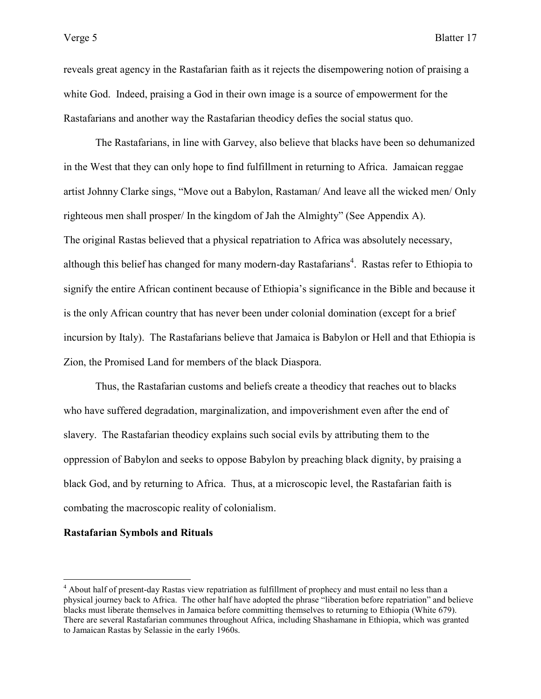reveals great agency in the Rastafarian faith as it rejects the disempowering notion of praising a white God. Indeed, praising a God in their own image is a source of empowerment for the Rastafarians and another way the Rastafarian theodicy defies the social status quo.

 The Rastafarians, in line with Garvey, also believe that blacks have been so dehumanized in the West that they can only hope to find fulfillment in returning to Africa. Jamaican reggae artist Johnny Clarke sings, "Move out a Babylon, Rastaman/ And leave all the wicked men/ Only righteous men shall prosper/ In the kingdom of Jah the Almighty" (See Appendix A). The original Rastas believed that a physical repatriation to Africa was absolutely necessary, although this belief has changed for many modern-day Rastafarians<sup>4</sup>. Rastas refer to Ethiopia to signify the entire African continent because of Ethiopia's significance in the Bible and because it is the only African country that has never been under colonial domination (except for a brief incursion by Italy). The Rastafarians believe that Jamaica is Babylon or Hell and that Ethiopia is Zion, the Promised Land for members of the black Diaspora.

 Thus, the Rastafarian customs and beliefs create a theodicy that reaches out to blacks who have suffered degradation, marginalization, and impoverishment even after the end of slavery. The Rastafarian theodicy explains such social evils by attributing them to the oppression of Babylon and seeks to oppose Babylon by preaching black dignity, by praising a black God, and by returning to Africa. Thus, at a microscopic level, the Rastafarian faith is combating the macroscopic reality of colonialism.

#### **Rastafarian Symbols and Rituals**

 $\overline{a}$ 

<sup>&</sup>lt;sup>4</sup> About half of present-day Rastas view repatriation as fulfillment of prophecy and must entail no less than a physical journey back to Africa. The other half have adopted the phrase "liberation before repatriation" and believe blacks must liberate themselves in Jamaica before committing themselves to returning to Ethiopia (White 679). There are several Rastafarian communes throughout Africa, including Shashamane in Ethiopia, which was granted to Jamaican Rastas by Selassie in the early 1960s.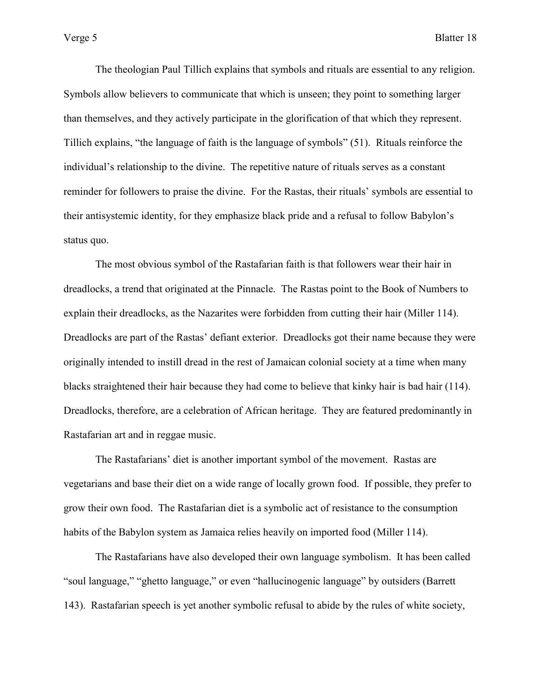The theologian Paul Tillich explains that symbols and rituals are essential to any religion. Symbols allow believers to communicate that which is unseen; they point to something larger than themselves, and they actively participate in the glorification of that which they represent. Tillich explains, "the language of faith is the language of symbols" (51). Rituals reinforce the individual's relationship to the divine. The repetitive nature of rituals serves as a constant reminder for followers to praise the divine. For the Rastas, their rituals' symbols are essential to their antisystemic identity, for they emphasize black pride and a refusal to follow Babylon's status quo.

 The most obvious symbol of the Rastafarian faith is that followers wear their hair in dreadlocks, a trend that originated at the Pinnacle. The Rastas point to the Book of Numbers to explain their dreadlocks, as the Nazarites were forbidden from cutting their hair (Miller 114). Dreadlocks are part of the Rastas' defiant exterior. Dreadlocks got their name because they were originally intended to instill dread in the rest of Jamaican colonial society at a time when many blacks straightened their hair because they had come to believe that kinky hair is bad hair (114). Dreadlocks, therefore, are a celebration of African heritage. They are featured predominantly in Rastafarian art and in reggae music.

 The Rastafarians' diet is another important symbol of the movement. Rastas are vegetarians and base their diet on a wide range of locally grown food. If possible, they prefer to grow their own food. The Rastafarian diet is a symbolic act of resistance to the consumption habits of the Babylon system as Jamaica relies heavily on imported food (Miller 114).

 The Rastafarians have also developed their own language symbolism. It has been called "soul language," "ghetto language," or even "hallucinogenic language" by outsiders (Barrett 143). Rastafarian speech is yet another symbolic refusal to abide by the rules of white society,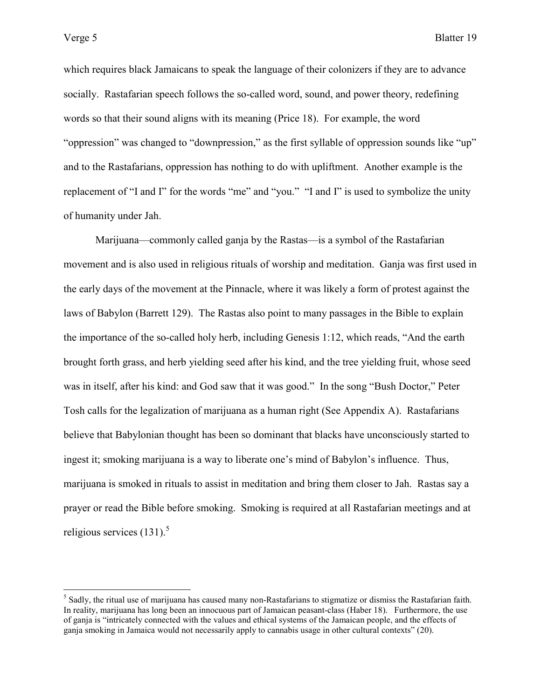which requires black Jamaicans to speak the language of their colonizers if they are to advance socially. Rastafarian speech follows the so-called word, sound, and power theory, redefining words so that their sound aligns with its meaning (Price 18). For example, the word "oppression" was changed to "downpression," as the first syllable of oppression sounds like "up" and to the Rastafarians, oppression has nothing to do with upliftment. Another example is the replacement of "I and I" for the words "me" and "you." "I and I" is used to symbolize the unity of humanity under Jah.

Marijuana—commonly called ganja by the Rastas—is a symbol of the Rastafarian movement and is also used in religious rituals of worship and meditation. Ganja was first used in the early days of the movement at the Pinnacle, where it was likely a form of protest against the laws of Babylon (Barrett 129). The Rastas also point to many passages in the Bible to explain the importance of the so-called holy herb, including Genesis 1:12, which reads, "And the earth brought forth grass, and herb yielding seed after his kind, and the tree yielding fruit, whose seed was in itself, after his kind: and God saw that it was good." In the song "Bush Doctor," Peter Tosh calls for the legalization of marijuana as a human right (See Appendix A). Rastafarians believe that Babylonian thought has been so dominant that blacks have unconsciously started to ingest it; smoking marijuana is a way to liberate one's mind of Babylon's influence. Thus, marijuana is smoked in rituals to assist in meditation and bring them closer to Jah. Rastas say a prayer or read the Bible before smoking. Smoking is required at all Rastafarian meetings and at religious services  $(131).$ <sup>5</sup>

<sup>&</sup>lt;sup>5</sup> Sadly, the ritual use of marijuana has caused many non-Rastafarians to stigmatize or dismiss the Rastafarian faith. In reality, marijuana has long been an innocuous part of Jamaican peasant-class (Haber 18). Furthermore, the use of ganja is "intricately connected with the values and ethical systems of the Jamaican people, and the effects of ganja smoking in Jamaica would not necessarily apply to cannabis usage in other cultural contexts" (20).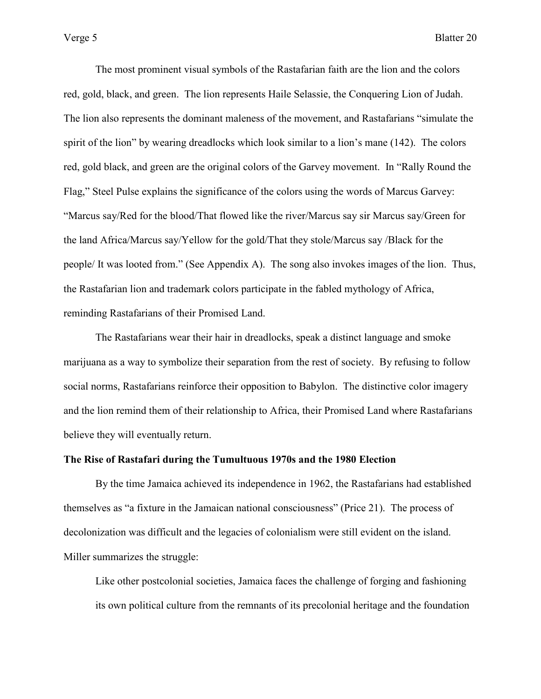Verge 5 Blatter 20

 The most prominent visual symbols of the Rastafarian faith are the lion and the colors red, gold, black, and green. The lion represents Haile Selassie, the Conquering Lion of Judah. The lion also represents the dominant maleness of the movement, and Rastafarians "simulate the spirit of the lion" by wearing dreadlocks which look similar to a lion's mane (142). The colors red, gold black, and green are the original colors of the Garvey movement. In "Rally Round the Flag," Steel Pulse explains the significance of the colors using the words of Marcus Garvey: "Marcus say/Red for the blood/That flowed like the river/Marcus say sir Marcus say/Green for the land Africa/Marcus say/Yellow for the gold/That they stole/Marcus say /Black for the people/ It was looted from." (See Appendix A). The song also invokes images of the lion. Thus, the Rastafarian lion and trademark colors participate in the fabled mythology of Africa, reminding Rastafarians of their Promised Land.

The Rastafarians wear their hair in dreadlocks, speak a distinct language and smoke marijuana as a way to symbolize their separation from the rest of society. By refusing to follow social norms, Rastafarians reinforce their opposition to Babylon. The distinctive color imagery and the lion remind them of their relationship to Africa, their Promised Land where Rastafarians believe they will eventually return.

#### **The Rise of Rastafari during the Tumultuous 1970s and the 1980 Election**

 By the time Jamaica achieved its independence in 1962, the Rastafarians had established themselves as "a fixture in the Jamaican national consciousness" (Price 21). The process of decolonization was difficult and the legacies of colonialism were still evident on the island. Miller summarizes the struggle:

Like other postcolonial societies, Jamaica faces the challenge of forging and fashioning its own political culture from the remnants of its precolonial heritage and the foundation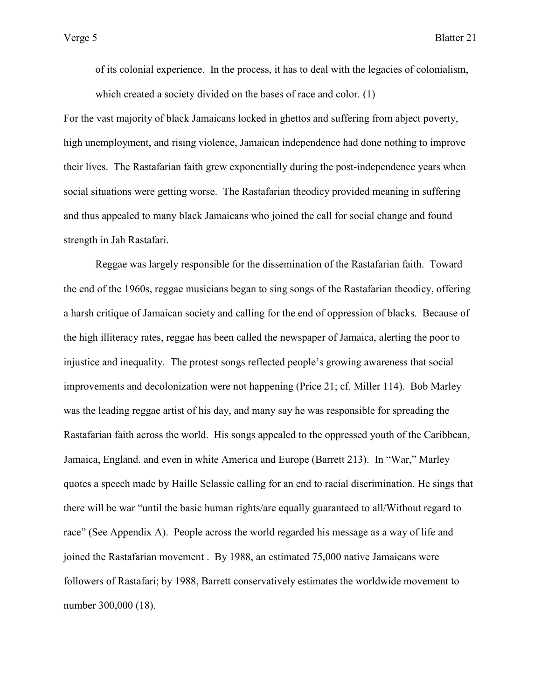of its colonial experience. In the process, it has to deal with the legacies of colonialism, which created a society divided on the bases of race and color. (1)

For the vast majority of black Jamaicans locked in ghettos and suffering from abject poverty, high unemployment, and rising violence, Jamaican independence had done nothing to improve their lives. The Rastafarian faith grew exponentially during the post-independence years when social situations were getting worse. The Rastafarian theodicy provided meaning in suffering and thus appealed to many black Jamaicans who joined the call for social change and found strength in Jah Rastafari.

 Reggae was largely responsible for the dissemination of the Rastafarian faith. Toward the end of the 1960s, reggae musicians began to sing songs of the Rastafarian theodicy, offering a harsh critique of Jamaican society and calling for the end of oppression of blacks. Because of the high illiteracy rates, reggae has been called the newspaper of Jamaica, alerting the poor to injustice and inequality. The protest songs reflected people's growing awareness that social improvements and decolonization were not happening (Price 21; cf. Miller 114). Bob Marley was the leading reggae artist of his day, and many say he was responsible for spreading the Rastafarian faith across the world. His songs appealed to the oppressed youth of the Caribbean, Jamaica, England. and even in white America and Europe (Barrett 213). In "War," Marley quotes a speech made by Haille Selassie calling for an end to racial discrimination. He sings that there will be war "until the basic human rights/are equally guaranteed to all/Without regard to race" (See Appendix A). People across the world regarded his message as a way of life and joined the Rastafarian movement . By 1988, an estimated 75,000 native Jamaicans were followers of Rastafari; by 1988, Barrett conservatively estimates the worldwide movement to number 300,000 (18).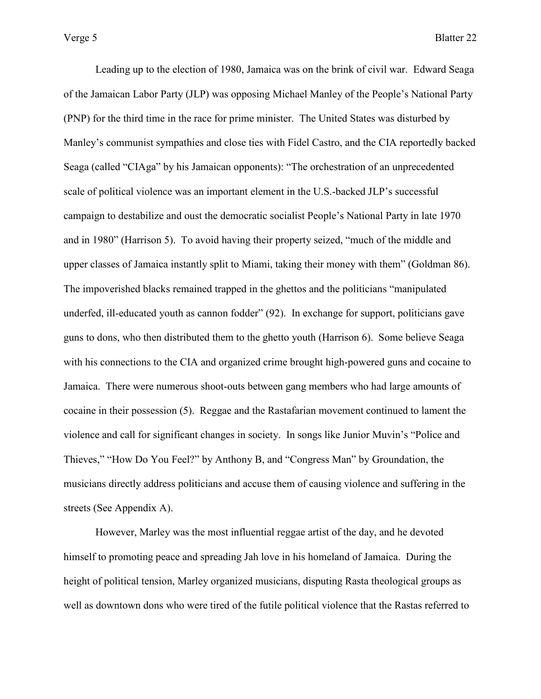Leading up to the election of 1980, Jamaica was on the brink of civil war. Edward Seaga of the Jamaican Labor Party (JLP) was opposing Michael Manley of the People's National Party (PNP) for the third time in the race for prime minister. The United States was disturbed by Manley's communist sympathies and close ties with Fidel Castro, and the CIA reportedly backed Seaga (called "CIAga" by his Jamaican opponents): "The orchestration of an unprecedented scale of political violence was an important element in the U.S.-backed JLP's successful campaign to destabilize and oust the democratic socialist People's National Party in late 1970 and in 1980" (Harrison 5). To avoid having their property seized, "much of the middle and upper classes of Jamaica instantly split to Miami, taking their money with them" (Goldman 86). The impoverished blacks remained trapped in the ghettos and the politicians "manipulated underfed, ill-educated youth as cannon fodder" (92). In exchange for support, politicians gave guns to dons, who then distributed them to the ghetto youth (Harrison 6). Some believe Seaga with his connections to the CIA and organized crime brought high-powered guns and cocaine to Jamaica. There were numerous shoot-outs between gang members who had large amounts of cocaine in their possession (5). Reggae and the Rastafarian movement continued to lament the violence and call for significant changes in society. In songs like Junior Muvin's "Police and Thieves," "How Do You Feel?" by Anthony B, and "Congress Man" by Groundation, the musicians directly address politicians and accuse them of causing violence and suffering in the streets (See Appendix A).

However, Marley was the most influential reggae artist of the day, and he devoted himself to promoting peace and spreading Jah love in his homeland of Jamaica. During the height of political tension, Marley organized musicians, disputing Rasta theological groups as well as downtown dons who were tired of the futile political violence that the Rastas referred to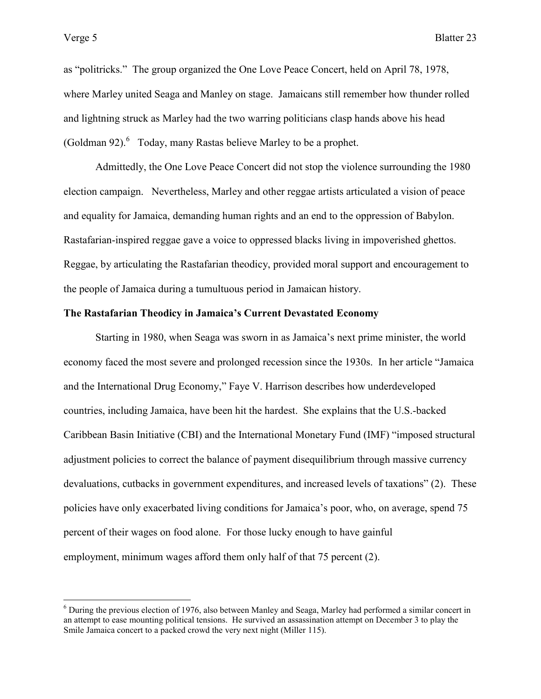as "politricks." The group organized the One Love Peace Concert, held on April 78, 1978, where Marley united Seaga and Manley on stage. Jamaicans still remember how thunder rolled and lightning struck as Marley had the two warring politicians clasp hands above his head (Goldman 92).<sup>6</sup> Today, many Rastas believe Marley to be a prophet.

 Admittedly, the One Love Peace Concert did not stop the violence surrounding the 1980 election campaign. Nevertheless, Marley and other reggae artists articulated a vision of peace and equality for Jamaica, demanding human rights and an end to the oppression of Babylon. Rastafarian-inspired reggae gave a voice to oppressed blacks living in impoverished ghettos. Reggae, by articulating the Rastafarian theodicy, provided moral support and encouragement to the people of Jamaica during a tumultuous period in Jamaican history.

#### **The Rastafarian Theodicy in Jamaica's Current Devastated Economy**

Starting in 1980, when Seaga was sworn in as Jamaica's next prime minister, the world economy faced the most severe and prolonged recession since the 1930s. In her article "Jamaica and the International Drug Economy," Faye V. Harrison describes how underdeveloped countries, including Jamaica, have been hit the hardest. She explains that the U.S.-backed Caribbean Basin Initiative (CBI) and the International Monetary Fund (IMF) "imposed structural adjustment policies to correct the balance of payment disequilibrium through massive currency devaluations, cutbacks in government expenditures, and increased levels of taxations" (2). These policies have only exacerbated living conditions for Jamaica's poor, who, on average, spend 75 percent of their wages on food alone. For those lucky enough to have gainful employment, minimum wages afford them only half of that 75 percent (2).

<sup>&</sup>lt;sup>6</sup> During the previous election of 1976, also between Manley and Seaga, Marley had performed a similar concert in an attempt to ease mounting political tensions. He survived an assassination attempt on December 3 to play the Smile Jamaica concert to a packed crowd the very next night (Miller 115).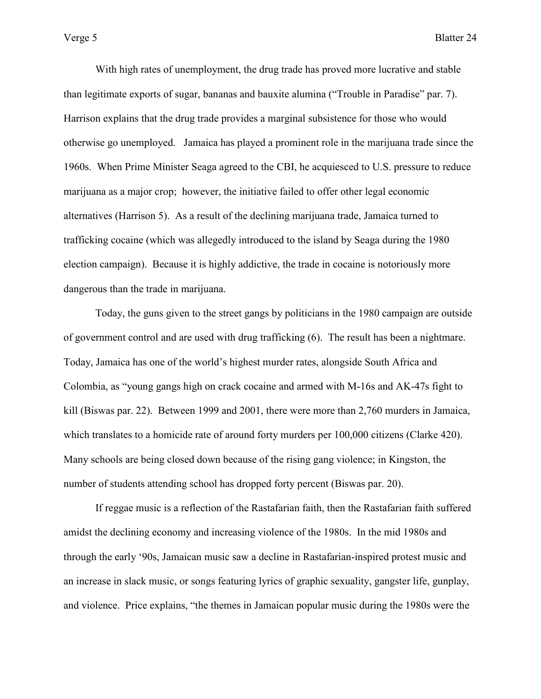With high rates of unemployment, the drug trade has proved more lucrative and stable than legitimate exports of sugar, bananas and bauxite alumina ("Trouble in Paradise" par. 7). Harrison explains that the drug trade provides a marginal subsistence for those who would otherwise go unemployed. Jamaica has played a prominent role in the marijuana trade since the 1960s. When Prime Minister Seaga agreed to the CBI, he acquiesced to U.S. pressure to reduce marijuana as a major crop; however, the initiative failed to offer other legal economic alternatives (Harrison 5). As a result of the declining marijuana trade, Jamaica turned to trafficking cocaine (which was allegedly introduced to the island by Seaga during the 1980 election campaign). Because it is highly addictive, the trade in cocaine is notoriously more dangerous than the trade in marijuana.

Today, the guns given to the street gangs by politicians in the 1980 campaign are outside of government control and are used with drug trafficking (6). The result has been a nightmare. Today, Jamaica has one of the world's highest murder rates, alongside South Africa and Colombia, as "young gangs high on crack cocaine and armed with M-16s and AK-47s fight to kill (Biswas par. 22). Between 1999 and 2001, there were more than 2,760 murders in Jamaica, which translates to a homicide rate of around forty murders per 100,000 citizens (Clarke 420). Many schools are being closed down because of the rising gang violence; in Kingston, the number of students attending school has dropped forty percent (Biswas par. 20).

If reggae music is a reflection of the Rastafarian faith, then the Rastafarian faith suffered amidst the declining economy and increasing violence of the 1980s. In the mid 1980s and through the early '90s, Jamaican music saw a decline in Rastafarian-inspired protest music and an increase in slack music, or songs featuring lyrics of graphic sexuality, gangster life, gunplay, and violence. Price explains, "the themes in Jamaican popular music during the 1980s were the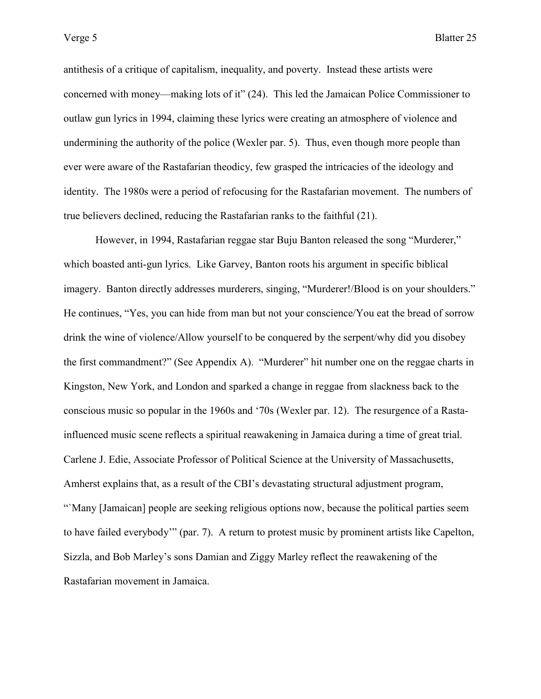antithesis of a critique of capitalism, inequality, and poverty. Instead these artists were concerned with money—making lots of it" (24). This led the Jamaican Police Commissioner to outlaw gun lyrics in 1994, claiming these lyrics were creating an atmosphere of violence and undermining the authority of the police (Wexler par. 5). Thus, even though more people than ever were aware of the Rastafarian theodicy, few grasped the intricacies of the ideology and identity. The 1980s were a period of refocusing for the Rastafarian movement. The numbers of true believers declined, reducing the Rastafarian ranks to the faithful (21).

However, in 1994, Rastafarian reggae star Buju Banton released the song "Murderer," which boasted anti-gun lyrics. Like Garvey, Banton roots his argument in specific biblical imagery. Banton directly addresses murderers, singing, "Murderer!/Blood is on your shoulders." He continues, "Yes, you can hide from man but not your conscience/You eat the bread of sorrow drink the wine of violence/Allow yourself to be conquered by the serpent/why did you disobey the first commandment?" (See Appendix A). "Murderer" hit number one on the reggae charts in Kingston, New York, and London and sparked a change in reggae from slackness back to the conscious music so popular in the 1960s and '70s (Wexler par. 12). The resurgence of a Rastainfluenced music scene reflects a spiritual reawakening in Jamaica during a time of great trial. Carlene J. Edie, Associate Professor of Political Science at the University of Massachusetts, Amherst explains that, as a result of the CBI's devastating structural adjustment program, "`Many [Jamaican] people are seeking religious options now, because the political parties seem to have failed everybody'" (par. 7). A return to protest music by prominent artists like Capelton, Sizzla, and Bob Marley's sons Damian and Ziggy Marley reflect the reawakening of the Rastafarian movement in Jamaica.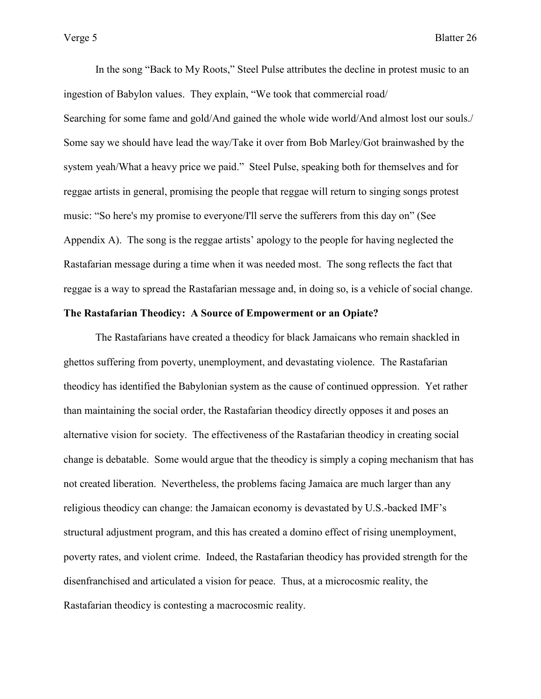Verge 5 Blatter 26

In the song "Back to My Roots," Steel Pulse attributes the decline in protest music to an ingestion of Babylon values. They explain, "We took that commercial road/ Searching for some fame and gold/And gained the whole wide world/And almost lost our souls./ Some say we should have lead the way/Take it over from Bob Marley/Got brainwashed by the system yeah/What a heavy price we paid." Steel Pulse, speaking both for themselves and for reggae artists in general, promising the people that reggae will return to singing songs protest music: "So here's my promise to everyone/I'll serve the sufferers from this day on" (See Appendix A). The song is the reggae artists' apology to the people for having neglected the Rastafarian message during a time when it was needed most. The song reflects the fact that reggae is a way to spread the Rastafarian message and, in doing so, is a vehicle of social change.

### **The Rastafarian Theodicy: A Source of Empowerment or an Opiate?**

The Rastafarians have created a theodicy for black Jamaicans who remain shackled in ghettos suffering from poverty, unemployment, and devastating violence. The Rastafarian theodicy has identified the Babylonian system as the cause of continued oppression. Yet rather than maintaining the social order, the Rastafarian theodicy directly opposes it and poses an alternative vision for society. The effectiveness of the Rastafarian theodicy in creating social change is debatable. Some would argue that the theodicy is simply a coping mechanism that has not created liberation. Nevertheless, the problems facing Jamaica are much larger than any religious theodicy can change: the Jamaican economy is devastated by U.S.-backed IMF's structural adjustment program, and this has created a domino effect of rising unemployment, poverty rates, and violent crime. Indeed, the Rastafarian theodicy has provided strength for the disenfranchised and articulated a vision for peace. Thus, at a microcosmic reality, the Rastafarian theodicy is contesting a macrocosmic reality.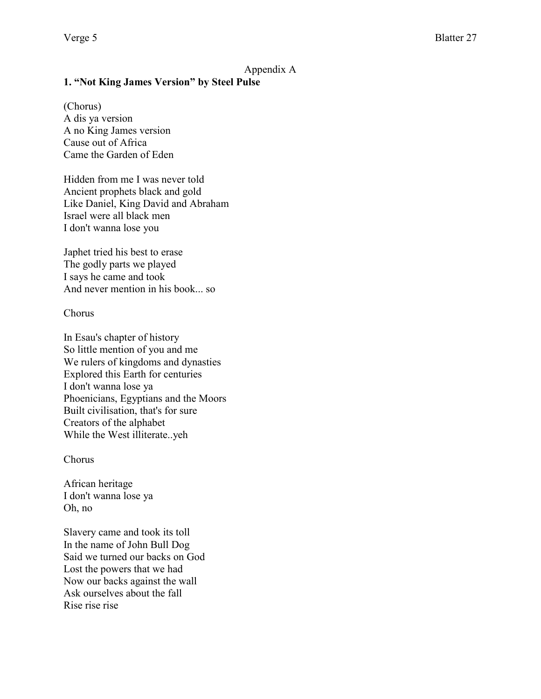## Appendix A

# **1. "Not King James Version" by Steel Pulse**

(Chorus) A dis ya version A no King James version Cause out of Africa Came the Garden of Eden

Hidden from me I was never told Ancient prophets black and gold Like Daniel, King David and Abraham Israel were all black men I don't wanna lose you

Japhet tried his best to erase The godly parts we played I says he came and took And never mention in his book... so

## Chorus

In Esau's chapter of history So little mention of you and me We rulers of kingdoms and dynasties Explored this Earth for centuries I don't wanna lose ya Phoenicians, Egyptians and the Moors Built civilisation, that's for sure Creators of the alphabet While the West illiterate..yeh

Chorus

African heritage I don't wanna lose ya Oh, no

Slavery came and took its toll In the name of John Bull Dog Said we turned our backs on God Lost the powers that we had Now our backs against the wall Ask ourselves about the fall Rise rise rise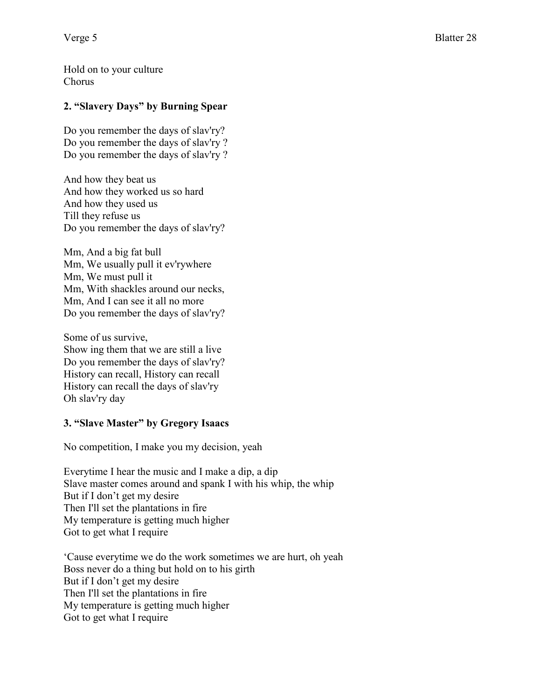Hold on to your culture Chorus

## **2. "Slavery Days" by Burning Spear**

Do you remember the days of slav'ry? Do you remember the days of slav'ry ? Do you remember the days of slav'ry ?

And how they beat us And how they worked us so hard And how they used us Till they refuse us Do you remember the days of slav'ry?

Mm, And a big fat bull Mm, We usually pull it ev'rywhere Mm, We must pull it Mm, With shackles around our necks, Mm, And I can see it all no more Do you remember the days of slav'ry?

Some of us survive, Show ing them that we are still a live Do you remember the days of slav'ry? History can recall, History can recall History can recall the days of slav'ry Oh slav'ry day

## **3. "Slave Master" by Gregory Isaacs**

No competition, I make you my decision, yeah

Everytime I hear the music and I make a dip, a dip Slave master comes around and spank I with his whip, the whip But if I don't get my desire Then I'll set the plantations in fire My temperature is getting much higher Got to get what I require

'Cause everytime we do the work sometimes we are hurt, oh yeah Boss never do a thing but hold on to his girth But if I don't get my desire Then I'll set the plantations in fire My temperature is getting much higher Got to get what I require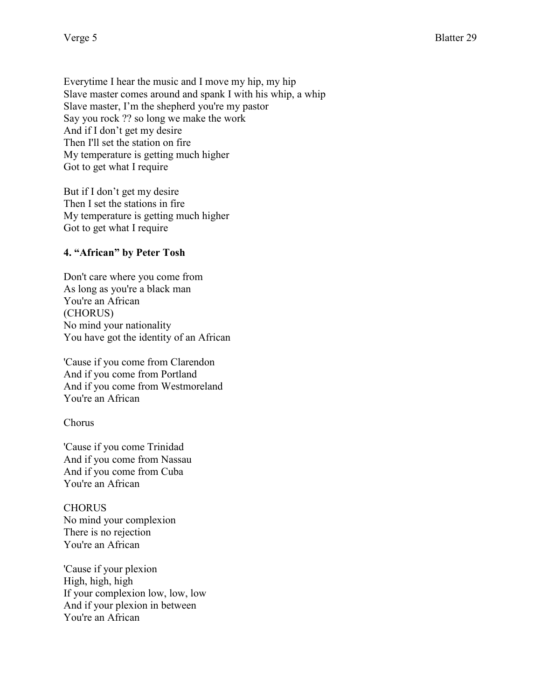Everytime I hear the music and I move my hip, my hip Slave master comes around and spank I with his whip, a whip Slave master, I'm the shepherd you're my pastor Say you rock ?? so long we make the work And if I don't get my desire Then I'll set the station on fire My temperature is getting much higher Got to get what I require

But if I don't get my desire Then I set the stations in fire My temperature is getting much higher Got to get what I require

## **4. "African" by Peter Tosh**

Don't care where you come from As long as you're a black man You're an African (CHORUS) No mind your nationality You have got the identity of an African

'Cause if you come from Clarendon And if you come from Portland And if you come from Westmoreland You're an African

Chorus

'Cause if you come Trinidad And if you come from Nassau And if you come from Cuba You're an African

**CHORUS** No mind your complexion There is no rejection You're an African

'Cause if your plexion High, high, high If your complexion low, low, low And if your plexion in between You're an African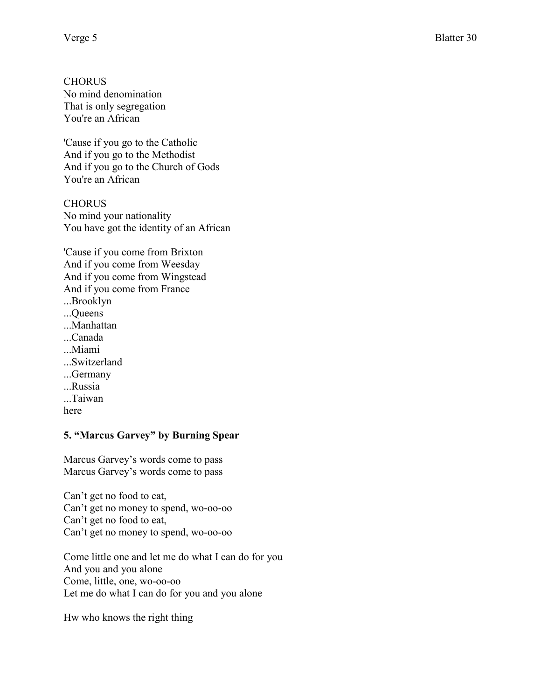**CHORUS** No mind denomination That is only segregation You're an African

'Cause if you go to the Catholic And if you go to the Methodist And if you go to the Church of Gods You're an African

**CHORUS** No mind your nationality You have got the identity of an African

'Cause if you come from Brixton And if you come from Weesday And if you come from Wingstead And if you come from France ...Brooklyn ...Queens ...Manhattan ...Canada ...Miami ...Switzerland ...Germany ...Russia ...Taiwan here

# **5. "Marcus Garvey" by Burning Spear**

Marcus Garvey's words come to pass Marcus Garvey's words come to pass

Can't get no food to eat, Can't get no money to spend, wo-oo-oo Can't get no food to eat, Can't get no money to spend, wo-oo-oo

Come little one and let me do what I can do for you And you and you alone Come, little, one, wo-oo-oo Let me do what I can do for you and you alone

Hw who knows the right thing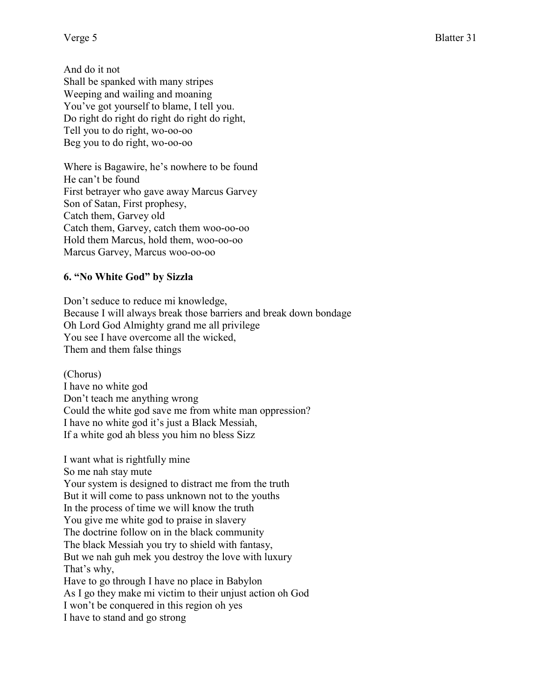And do it not Shall be spanked with many stripes Weeping and wailing and moaning You've got yourself to blame, I tell you. Do right do right do right do right do right, Tell you to do right, wo-oo-oo Beg you to do right, wo-oo-oo

Where is Bagawire, he's nowhere to be found He can't be found First betrayer who gave away Marcus Garvey Son of Satan, First prophesy, Catch them, Garvey old Catch them, Garvey, catch them woo-oo-oo Hold them Marcus, hold them, woo-oo-oo Marcus Garvey, Marcus woo-oo-oo

### **6. "No White God" by Sizzla**

Don't seduce to reduce mi knowledge, Because I will always break those barriers and break down bondage Oh Lord God Almighty grand me all privilege You see I have overcome all the wicked, Them and them false things

(Chorus) I have no white god Don't teach me anything wrong Could the white god save me from white man oppression? I have no white god it's just a Black Messiah, If a white god ah bless you him no bless Sizz

I want what is rightfully mine So me nah stay mute Your system is designed to distract me from the truth But it will come to pass unknown not to the youths In the process of time we will know the truth You give me white god to praise in slavery The doctrine follow on in the black community The black Messiah you try to shield with fantasy, But we nah guh mek you destroy the love with luxury That's why, Have to go through I have no place in Babylon As I go they make mi victim to their unjust action oh God I won't be conquered in this region oh yes I have to stand and go strong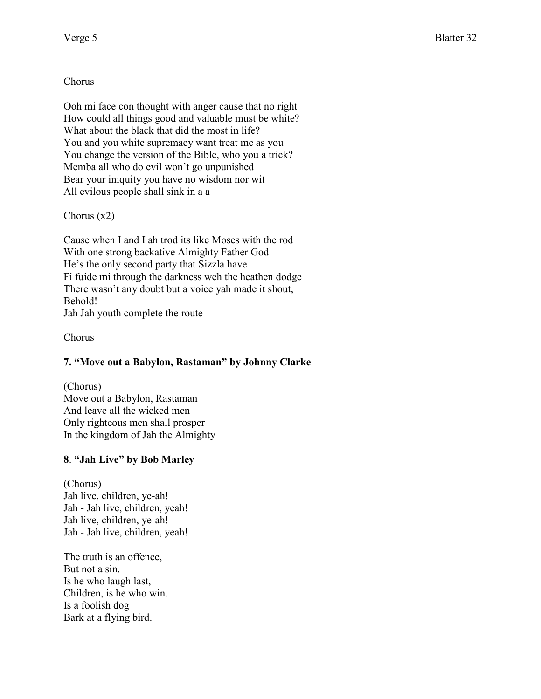## Chorus

Ooh mi face con thought with anger cause that no right How could all things good and valuable must be white? What about the black that did the most in life? You and you white supremacy want treat me as you You change the version of the Bible, who you a trick? Memba all who do evil won't go unpunished Bear your iniquity you have no wisdom nor wit All evilous people shall sink in a a

Chorus  $(x2)$ 

Cause when I and I ah trod its like Moses with the rod With one strong backative Almighty Father God He's the only second party that Sizzla have Fi fuide mi through the darkness weh the heathen dodge There wasn't any doubt but a voice yah made it shout, Behold! Jah Jah youth complete the route

Chorus

# **7. "Move out a Babylon, Rastaman" by Johnny Clarke**

(Chorus) Move out a Babylon, Rastaman And leave all the wicked men Only righteous men shall prosper In the kingdom of Jah the Almighty

# **8**. **"Jah Live" by Bob Marley**

(Chorus) Jah live, children, ye-ah! Jah - Jah live, children, yeah! Jah live, children, ye-ah! Jah - Jah live, children, yeah!

The truth is an offence, But not a sin. Is he who laugh last, Children, is he who win. Is a foolish dog Bark at a flying bird.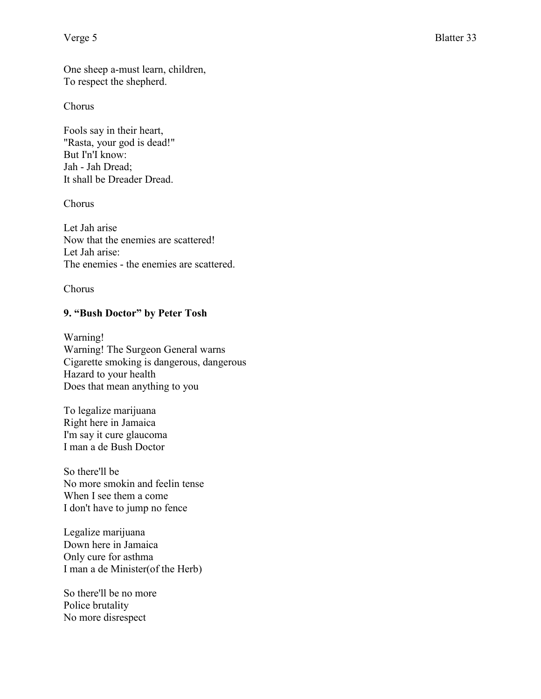One sheep a-must learn, children, To respect the shepherd.

Chorus

Fools say in their heart, "Rasta, your god is dead!" But I'n'I know: Jah - Jah Dread; It shall be Dreader Dread.

Chorus

Let Jah arise Now that the enemies are scattered! Let Jah arise: The enemies - the enemies are scattered.

Chorus

## **9. "Bush Doctor" by Peter Tosh**

Warning! Warning! The Surgeon General warns Cigarette smoking is dangerous, dangerous Hazard to your health Does that mean anything to you

To legalize marijuana Right here in Jamaica I'm say it cure glaucoma I man a de Bush Doctor

So there'll be No more smokin and feelin tense When I see them a come I don't have to jump no fence

Legalize marijuana Down here in Jamaica Only cure for asthma I man a de Minister(of the Herb)

So there'll be no more Police brutality No more disrespect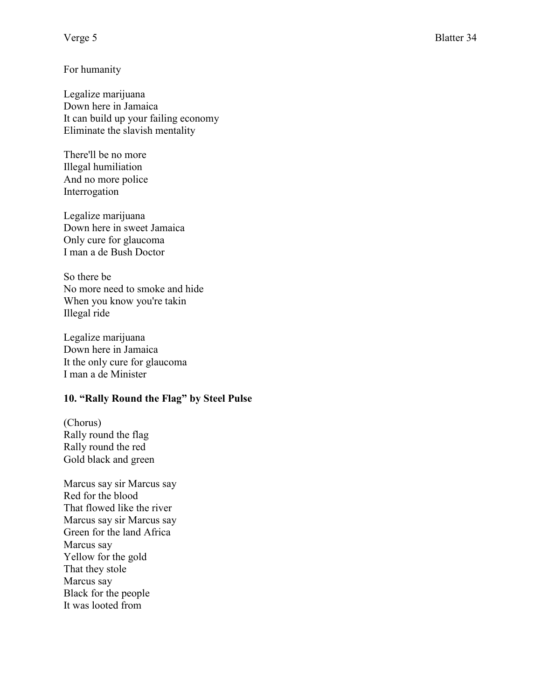## For humanity

Legalize marijuana Down here in Jamaica It can build up your failing economy Eliminate the slavish mentality

There'll be no more Illegal humiliation And no more police Interrogation

Legalize marijuana Down here in sweet Jamaica Only cure for glaucoma I man a de Bush Doctor

So there be No more need to smoke and hide When you know you're takin Illegal ride

Legalize marijuana Down here in Jamaica It the only cure for glaucoma I man a de Minister

## **10. "Rally Round the Flag" by Steel Pulse**

(Chorus) Rally round the flag Rally round the red Gold black and green

Marcus say sir Marcus say Red for the blood That flowed like the river Marcus say sir Marcus say Green for the land Africa Marcus say Yellow for the gold That they stole Marcus say Black for the people It was looted from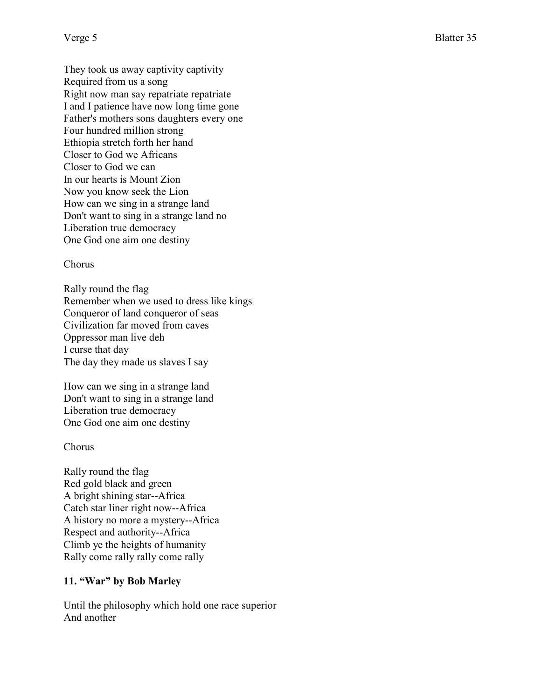They took us away captivity captivity Required from us a song Right now man say repatriate repatriate I and I patience have now long time gone Father's mothers sons daughters every one Four hundred million strong Ethiopia stretch forth her hand Closer to God we Africans Closer to God we can In our hearts is Mount Zion Now you know seek the Lion How can we sing in a strange land Don't want to sing in a strange land no Liberation true democracy One God one aim one destiny

## Chorus

Rally round the flag Remember when we used to dress like kings Conqueror of land conqueror of seas Civilization far moved from caves Oppressor man live deh I curse that day The day they made us slaves I say

How can we sing in a strange land Don't want to sing in a strange land Liberation true democracy One God one aim one destiny

Chorus

Rally round the flag Red gold black and green A bright shining star--Africa Catch star liner right now--Africa A history no more a mystery--Africa Respect and authority--Africa Climb ye the heights of humanity Rally come rally rally come rally

# **11. "War" by Bob Marley**

Until the philosophy which hold one race superior And another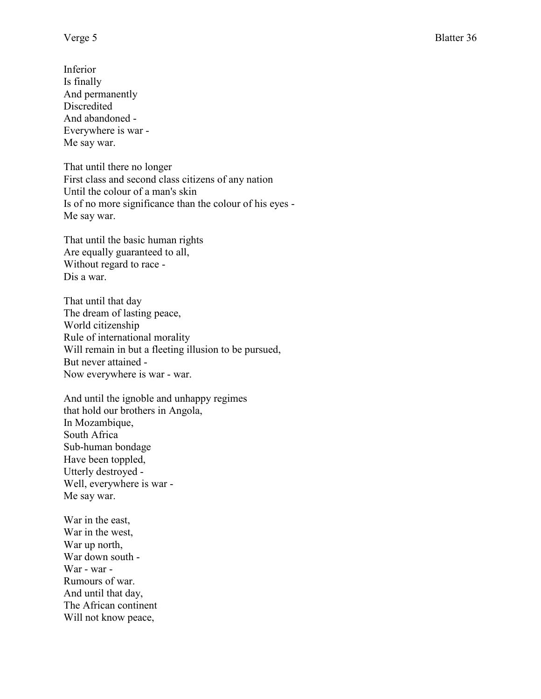Inferior Is finally And permanently Discredited And abandoned - Everywhere is war - Me say war.

That until there no longer First class and second class citizens of any nation Until the colour of a man's skin Is of no more significance than the colour of his eyes - Me say war.

That until the basic human rights Are equally guaranteed to all, Without regard to race - Dis a war.

That until that day The dream of lasting peace, World citizenship Rule of international morality Will remain in but a fleeting illusion to be pursued, But never attained - Now everywhere is war - war.

And until the ignoble and unhappy regimes that hold our brothers in Angola, In Mozambique, South Africa Sub-human bondage Have been toppled, Utterly destroyed - Well, everywhere is war - Me say war.

War in the east, War in the west, War up north, War down south - War - war - Rumours of war. And until that day, The African continent Will not know peace,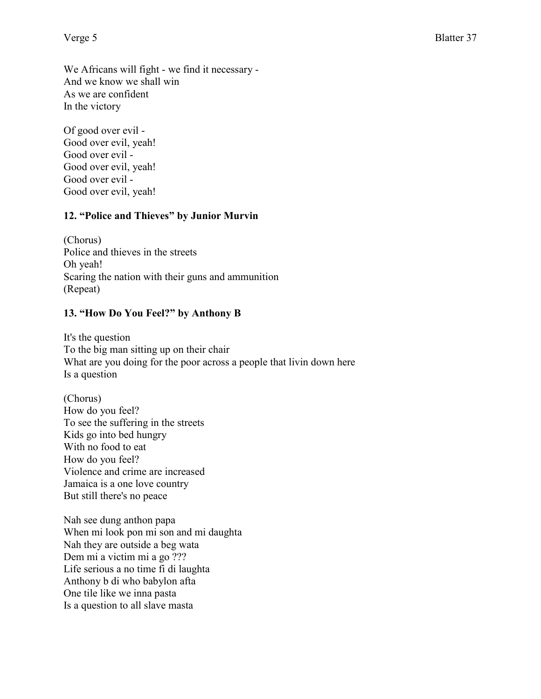We Africans will fight - we find it necessary - And we know we shall win As we are confident In the victory

Of good over evil - Good over evil, yeah! Good over evil - Good over evil, yeah! Good over evil - Good over evil, yeah!

## **12. "Police and Thieves" by Junior Murvin**

(Chorus) Police and thieves in the streets Oh yeah! Scaring the nation with their guns and ammunition (Repeat)

# **13. "How Do You Feel?" by Anthony B**

It's the question To the big man sitting up on their chair What are you doing for the poor across a people that livin down here Is a question

(Chorus) How do you feel? To see the suffering in the streets Kids go into bed hungry With no food to eat How do you feel? Violence and crime are increased Jamaica is a one love country But still there's no peace

Nah see dung anthon papa When mi look pon mi son and mi daughta Nah they are outside a beg wata Dem mi a victim mi a go ??? Life serious a no time fi di laughta Anthony b di who babylon afta One tile like we inna pasta Is a question to all slave masta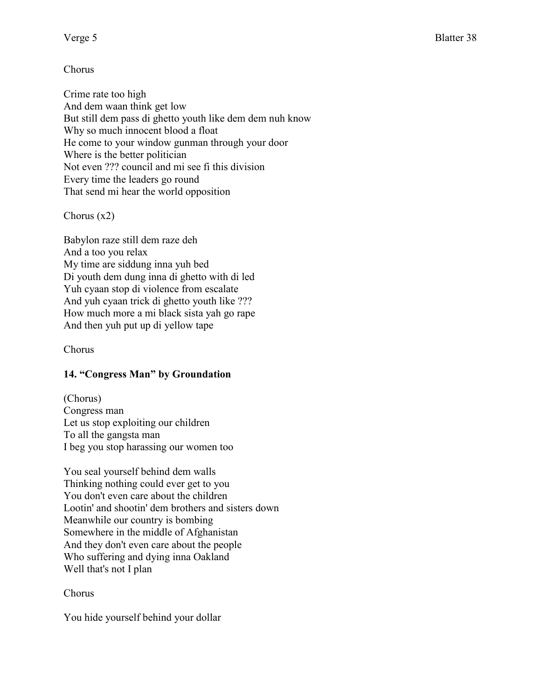# Chorus

Crime rate too high And dem waan think get low But still dem pass di ghetto youth like dem dem nuh know Why so much innocent blood a float He come to your window gunman through your door Where is the better politician Not even ??? council and mi see fi this division Every time the leaders go round That send mi hear the world opposition

Chorus  $(x2)$ 

Babylon raze still dem raze deh And a too you relax My time are siddung inna yuh bed Di youth dem dung inna di ghetto with di led Yuh cyaan stop di violence from escalate And yuh cyaan trick di ghetto youth like ??? How much more a mi black sista yah go rape And then yuh put up di yellow tape

Chorus

# **14. "Congress Man" by Groundation**

(Chorus) Congress man Let us stop exploiting our children To all the gangsta man I beg you stop harassing our women too

You seal yourself behind dem walls Thinking nothing could ever get to you You don't even care about the children Lootin' and shootin' dem brothers and sisters down Meanwhile our country is bombing Somewhere in the middle of Afghanistan And they don't even care about the people Who suffering and dying inna Oakland Well that's not I plan

# Chorus

You hide yourself behind your dollar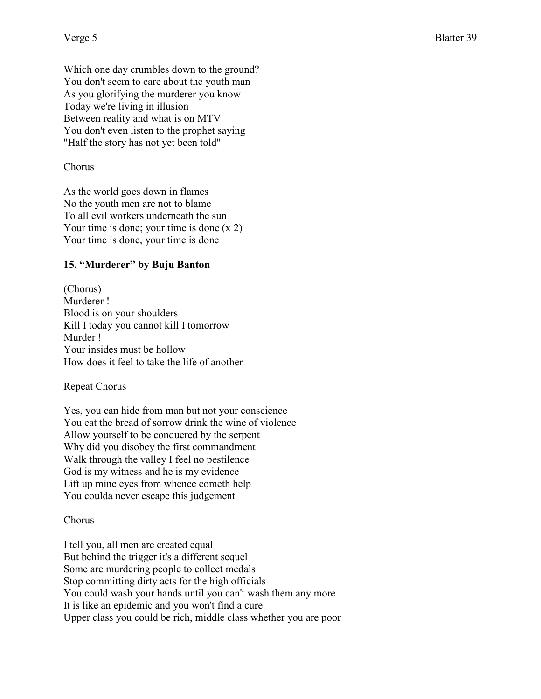Which one day crumbles down to the ground? You don't seem to care about the youth man As you glorifying the murderer you know Today we're living in illusion Between reality and what is on MTV You don't even listen to the prophet saying "Half the story has not yet been told"

## Chorus

As the world goes down in flames No the youth men are not to blame To all evil workers underneath the sun Your time is done; your time is done  $(x 2)$ Your time is done, your time is done

# **15. "Murderer" by Buju Banton**

(Chorus) Murderer ! Blood is on your shoulders Kill I today you cannot kill I tomorrow Murder ! Your insides must be hollow How does it feel to take the life of another

# Repeat Chorus

Yes, you can hide from man but not your conscience You eat the bread of sorrow drink the wine of violence Allow yourself to be conquered by the serpent Why did you disobey the first commandment Walk through the valley I feel no pestilence God is my witness and he is my evidence Lift up mine eyes from whence cometh help You coulda never escape this judgement

# Chorus

I tell you, all men are created equal But behind the trigger it's a different sequel Some are murdering people to collect medals Stop committing dirty acts for the high officials You could wash your hands until you can't wash them any more It is like an epidemic and you won't find a cure Upper class you could be rich, middle class whether you are poor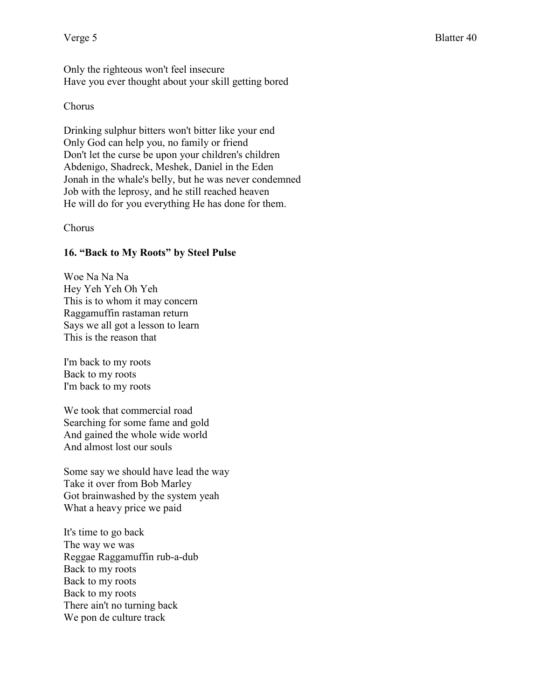Only the righteous won't feel insecure Have you ever thought about your skill getting bored

## Chorus

Drinking sulphur bitters won't bitter like your end Only God can help you, no family or friend Don't let the curse be upon your children's children Abdenigo, Shadreck, Meshek, Daniel in the Eden Jonah in the whale's belly, but he was never condemned Job with the leprosy, and he still reached heaven He will do for you everything He has done for them.

Chorus

## **16. "Back to My Roots" by Steel Pulse**

Woe Na Na Na Hey Yeh Yeh Oh Yeh This is to whom it may concern Raggamuffin rastaman return Says we all got a lesson to learn This is the reason that

I'm back to my roots Back to my roots I'm back to my roots

We took that commercial road Searching for some fame and gold And gained the whole wide world And almost lost our souls

Some say we should have lead the way Take it over from Bob Marley Got brainwashed by the system yeah What a heavy price we paid

It's time to go back The way we was Reggae Raggamuffin rub-a-dub Back to my roots Back to my roots Back to my roots There ain't no turning back We pon de culture track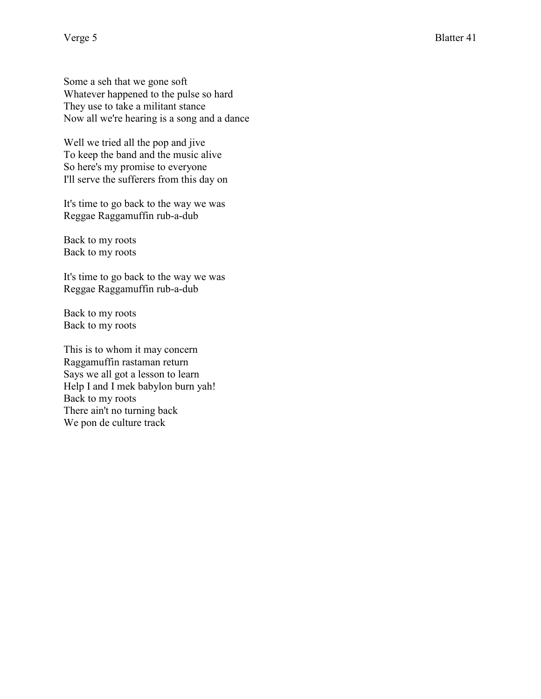Whatever happened to the pulse so hard They use to take a militant stance Now all we're hearing is a song and a dance

Well we tried all the pop and jive To keep the band and the music alive So here's my promise to everyone I'll serve the sufferers from this day on

It's time to go back to the way we was Reggae Raggamuffin rub-a-dub

Back to my roots Back to my roots

It's time to go back to the way we was Reggae Raggamuffin rub-a-dub

Back to my roots Back to my roots

This is to whom it may concern Raggamuffin rastaman return Says we all got a lesson to learn Help I and I mek babylon burn yah! Back to my roots There ain't no turning back We pon de culture track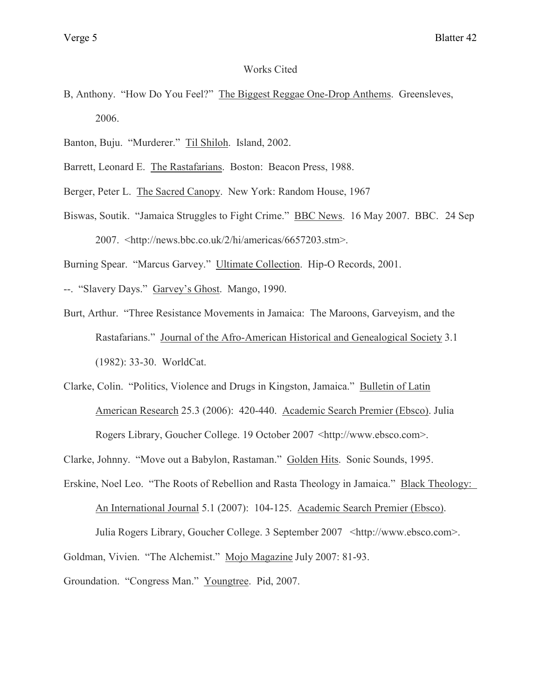### Works Cited

- B, Anthony. "How Do You Feel?" The Biggest Reggae One-Drop Anthems. Greensleves, 2006.
- Banton, Buju. "Murderer." Til Shiloh. Island, 2002.
- Barrett, Leonard E. The Rastafarians. Boston: Beacon Press, 1988.
- Berger, Peter L. The Sacred Canopy. New York: Random House, 1967
- Biswas, Soutik. "Jamaica Struggles to Fight Crime." BBC News. 16 May 2007. BBC. 24 Sep 2007. <http://news.bbc.co.uk/2/hi/americas/6657203.stm>.

Burning Spear. "Marcus Garvey." Ultimate Collection. Hip-O Records, 2001.

--. "Slavery Days." Garvey's Ghost. Mango, 1990.

- Burt, Arthur. "Three Resistance Movements in Jamaica: The Maroons, Garveyism, and the Rastafarians." Journal of the Afro-American Historical and Genealogical Society 3.1 (1982): 33-30. WorldCat.
- Clarke, Colin. "Politics, Violence and Drugs in Kingston, Jamaica." Bulletin of Latin American Research 25.3 (2006): 420-440. Academic Search Premier (Ebsco). Julia Rogers Library, Goucher College. 19 October 2007 <http://www.ebsco.com>.

Clarke, Johnny. "Move out a Babylon, Rastaman." Golden Hits. Sonic Sounds, 1995.

Erskine, Noel Leo. "The Roots of Rebellion and Rasta Theology in Jamaica." Black Theology:

An International Journal 5.1 (2007): 104-125. Academic Search Premier (Ebsco).

Julia Rogers Library, Goucher College. 3 September 2007 <http://www.ebsco.com>.

Goldman, Vivien. "The Alchemist." Mojo Magazine July 2007: 81-93.

Groundation. "Congress Man." Youngtree. Pid, 2007.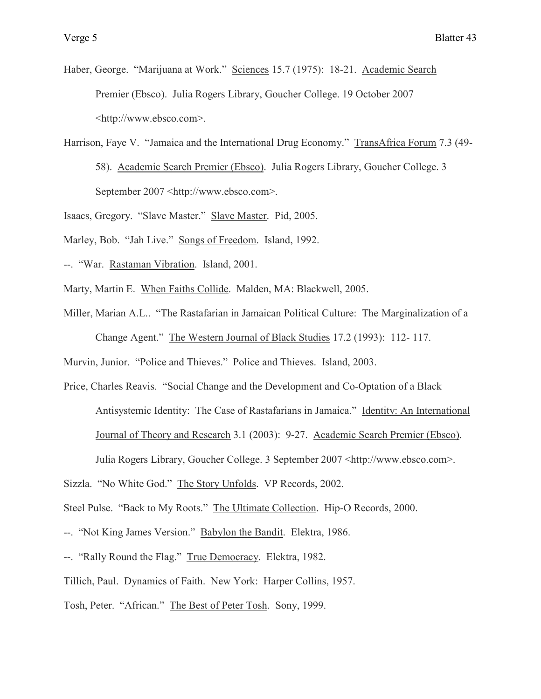- Haber, George. "Marijuana at Work." Sciences 15.7 (1975): 18-21. Academic Search Premier (Ebsco). Julia Rogers Library, Goucher College. 19 October 2007 <http://www.ebsco.com>.
- Harrison, Faye V. "Jamaica and the International Drug Economy." TransAfrica Forum 7.3 (49- 58). Academic Search Premier (Ebsco). Julia Rogers Library, Goucher College. 3 September 2007 <http://www.ebsco.com>.
- Isaacs, Gregory. "Slave Master." Slave Master. Pid, 2005.
- Marley, Bob. "Jah Live." Songs of Freedom. Island, 1992.
- --. "War. Rastaman Vibration. Island, 2001.
- Marty, Martin E. When Faiths Collide. Malden, MA: Blackwell, 2005.
- Miller, Marian A.L.. "The Rastafarian in Jamaican Political Culture: The Marginalization of a Change Agent." The Western Journal of Black Studies 17.2 (1993): 112- 117.

Murvin, Junior. "Police and Thieves." Police and Thieves. Island, 2003.

Price, Charles Reavis. "Social Change and the Development and Co-Optation of a Black

Antisystemic Identity: The Case of Rastafarians in Jamaica." Identity: An International

Journal of Theory and Research 3.1 (2003): 9-27. Academic Search Premier (Ebsco).

Julia Rogers Library, Goucher College. 3 September 2007 <http://www.ebsco.com>.

Sizzla. "No White God." The Story Unfolds. VP Records, 2002.

Steel Pulse. "Back to My Roots." The Ultimate Collection. Hip-O Records, 2000.

- --. "Not King James Version." Babylon the Bandit. Elektra, 1986.
- --. "Rally Round the Flag." True Democracy. Elektra, 1982.

Tillich, Paul. Dynamics of Faith. New York: Harper Collins, 1957.

Tosh, Peter. "African." The Best of Peter Tosh. Sony, 1999.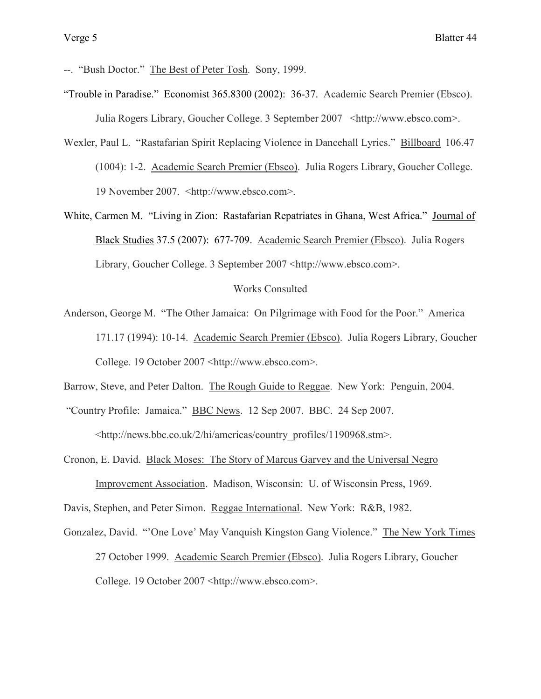- --. "Bush Doctor." The Best of Peter Tosh. Sony, 1999.
- "Trouble in Paradise." Economist 365.8300 (2002): 36-37. Academic Search Premier (Ebsco). Julia Rogers Library, Goucher College. 3 September 2007 <http://www.ebsco.com>.
- Wexler, Paul L. "Rastafarian Spirit Replacing Violence in Dancehall Lyrics." Billboard 106.47 (1004): 1-2. Academic Search Premier (Ebsco). Julia Rogers Library, Goucher College. 19 November 2007. <http://www.ebsco.com>.
- White, Carmen M. "Living in Zion: Rastafarian Repatriates in Ghana, West Africa." Journal of Black Studies 37.5 (2007): 677-709. Academic Search Premier (Ebsco). Julia Rogers Library, Goucher College. 3 September 2007 <http://www.ebsco.com>.

#### Works Consulted

Anderson, George M. "The Other Jamaica: On Pilgrimage with Food for the Poor." America 171.17 (1994): 10-14. Academic Search Premier (Ebsco). Julia Rogers Library, Goucher College. 19 October 2007 <http://www.ebsco.com>.

Barrow, Steve, and Peter Dalton. The Rough Guide to Reggae. New York: Penguin, 2004.

"Country Profile: Jamaica." BBC News. 12 Sep 2007. BBC. 24 Sep 2007.

<http://news.bbc.co.uk/2/hi/americas/country\_profiles/1190968.stm>.

Cronon, E. David. Black Moses: The Story of Marcus Garvey and the Universal Negro

Improvement Association. Madison, Wisconsin: U. of Wisconsin Press, 1969.

Davis, Stephen, and Peter Simon. Reggae International. New York: R&B, 1982.

Gonzalez, David. "'One Love' May Vanquish Kingston Gang Violence." The New York Times 27 October 1999. Academic Search Premier (Ebsco). Julia Rogers Library, Goucher College. 19 October 2007 <http://www.ebsco.com>.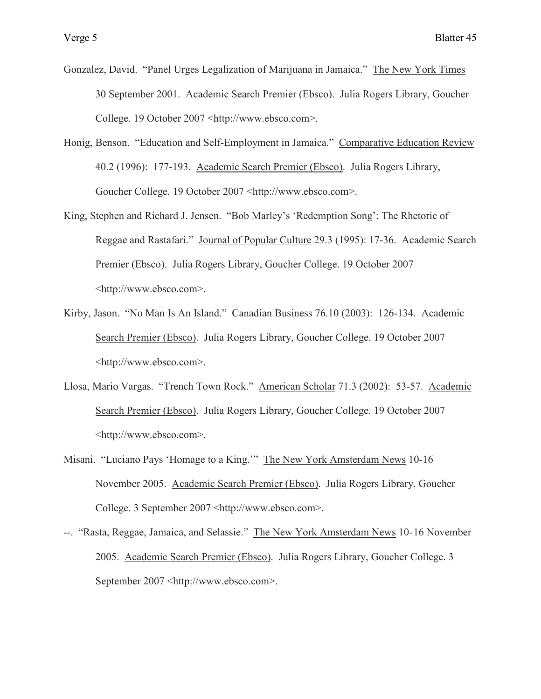- Gonzalez, David. "Panel Urges Legalization of Marijuana in Jamaica." The New York Times 30 September 2001. Academic Search Premier (Ebsco). Julia Rogers Library, Goucher College. 19 October 2007 <http://www.ebsco.com>.
- Honig, Benson. "Education and Self-Employment in Jamaica." Comparative Education Review 40.2 (1996): 177-193. Academic Search Premier (Ebsco). Julia Rogers Library, Goucher College. 19 October 2007 <http://www.ebsco.com>.
- King, Stephen and Richard J. Jensen. "Bob Marley's 'Redemption Song': The Rhetoric of Reggae and Rastafari." Journal of Popular Culture 29.3 (1995): 17-36. Academic Search Premier (Ebsco). Julia Rogers Library, Goucher College. 19 October 2007 <http://www.ebsco.com>.
- Kirby, Jason. "No Man Is An Island." Canadian Business 76.10 (2003): 126-134. Academic Search Premier (Ebsco). Julia Rogers Library, Goucher College. 19 October 2007 <http://www.ebsco.com>.
- Llosa, Mario Vargas. "Trench Town Rock." American Scholar 71.3 (2002): 53-57. Academic Search Premier (Ebsco). Julia Rogers Library, Goucher College. 19 October 2007 <http://www.ebsco.com>.
- Misani. "Luciano Pays 'Homage to a King.'" The New York Amsterdam News 10-16 November 2005. Academic Search Premier (Ebsco). Julia Rogers Library, Goucher College. 3 September 2007 <http://www.ebsco.com>.
- --. "Rasta, Reggae, Jamaica, and Selassie." The New York Amsterdam News 10- 16 November 2005. Academic Search Premier (Ebsco). Julia Rogers Library, Goucher College. 3 September 2007 <http://www.ebsco.com>.